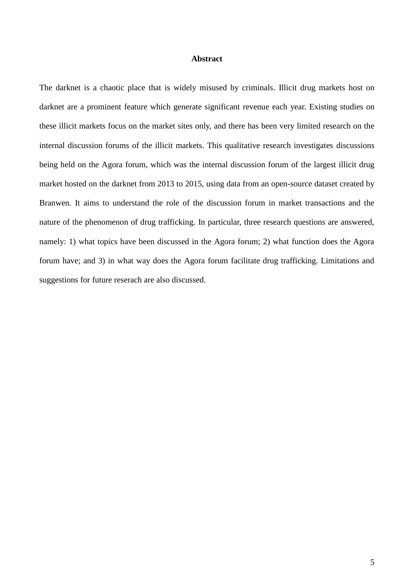#### **Abstract**

The darknet is a chaotic place that is widely misused by criminals. Illicit drug markets host on darknet are a prominent feature which generate significant revenue each year. Existing studies on these illicit markets focus on the market sites only, and there has been very limited research on the internal discussion forums of the illicit markets. This qualitative research investigates discussions being held on the Agora forum, which was the internal discussion forum of the largest illicit drug market hosted on the darknet from 2013 to 2015, using data from an open-source dataset created by Branwen. It aims to understand the role of the discussion forum in market transactions and the nature of the phenomenon of drug trafficking. In particular, three research questions are answered, namely: 1) what topics have been discussed in the Agora forum; 2) what function does the Agora forum have; and 3) in what way does the Agora forum facilitate drug trafficking. Limitations and suggestions for future reserach are also discussed.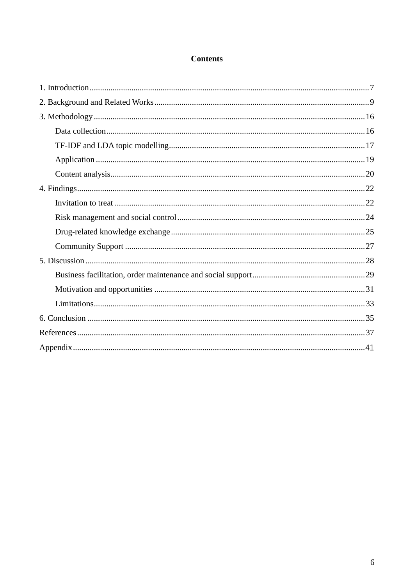# **Contents**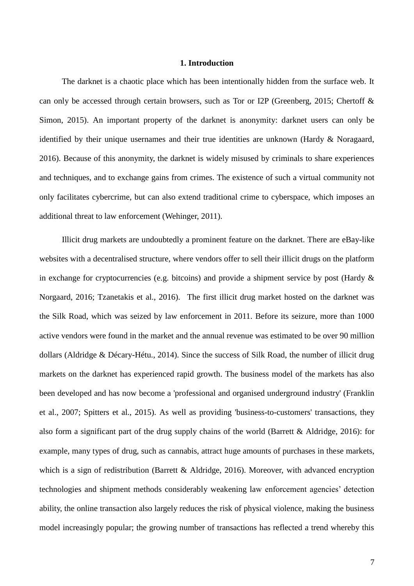#### **1. Introduction**

<span id="page-2-0"></span>The darknet is a chaotic place which has been intentionally hidden from the surface web. It can only be accessed through certain browsers, such as Tor or I2P (Greenberg, 2015; Chertoff & Simon, 2015). An important property of the darknet is anonymity: darknet users can only be identified by their unique usernames and their true identities are unknown (Hardy & Noragaard, 2016). Because of this anonymity, the darknet is widely misused by criminals to share experiences and techniques, and to exchange gains from crimes. The existence of such a virtual community not only facilitates cybercrime, but can also extend traditional crime to cyberspace, which imposes an additional threat to law enforcement (Wehinger, 2011).

Illicit drug markets are undoubtedly a prominent feature on the darknet. There are eBay-like websites with a decentralised structure, where vendors offer to sell their illicit drugs on the platform in exchange for cryptocurrencies (e.g. bitcoins) and provide a shipment service by post (Hardy & Norgaard, 2016; Tzanetakis et al., 2016). The first illicit drug market hosted on the darknet was the Silk Road, which was seized by law enforcement in 2011. Before its seizure, more than 1000 active vendors were found in the market and the annual revenue was estimated to be over 90 million dollars (Aldridge & Décary-Hétu., 2014). Since the success of Silk Road, the number of illicit drug markets on the darknet has experienced rapid growth. The business model of the markets has also been developed and has now become a 'professional and organised underground industry' (Franklin et al., 2007; Spitters et al., 2015). As well as providing 'business-to-customers' transactions, they also form a significant part of the drug supply chains of the world (Barrett & Aldridge, 2016): for example, many types of drug, such as cannabis, attract huge amounts of purchases in these markets, which is a sign of redistribution (Barrett & Aldridge, 2016). Moreover, with advanced encryption technologies and shipment methods considerably weakening law enforcement agencies' detection ability, the online transaction also largely reduces the risk of physical violence, making the business model increasingly popular; the growing number of transactions has reflected a trend whereby this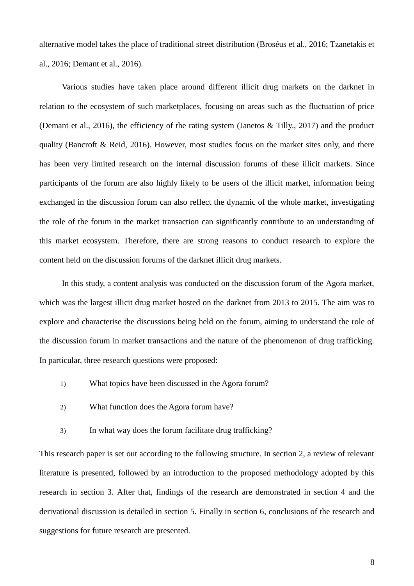alternative model takes the place of traditional street distribution (Broséus et al., 2016; Tzanetakis et al., 2016; Demant et al., 2016).

Various studies have taken place around different illicit drug markets on the darknet in relation to the ecosystem of such marketplaces, focusing on areas such as the fluctuation of price (Demant et al., 2016), the efficiency of the rating system (Janetos & Tilly., 2017) and the product quality (Bancroft & Reid, 2016). However, most studies focus on the market sites only, and there has been very limited research on the internal discussion forums of these illicit markets. Since participants of the forum are also highly likely to be users of the illicit market, information being exchanged in the discussion forum can also reflect the dynamic of the whole market, investigating the role of the forum in the market transaction can significantly contribute to an understanding of this market ecosystem. Therefore, there are strong reasons to conduct research to explore the content held on the discussion forums of the darknet illicit drug markets.

In this study, a content analysis was conducted on the discussion forum of the Agora market, which was the largest illicit drug market hosted on the darknet from 2013 to 2015. The aim was to explore and characterise the discussions being held on the forum, aiming to understand the role of the discussion forum in market transactions and the nature of the phenomenon of drug trafficking. In particular, three research questions were proposed:

- 1) What topics have been discussed in the Agora forum?
- 2) What function does the Agora forum have?
- <span id="page-3-0"></span>3) In what way does the forum facilitate drug trafficking?

This research paper is set out according to the following structure. In section 2, a review of relevant literature is presented, followed by an introduction to the proposed methodology adopted by this research in section 3. After that, findings of the research are demonstrated in section 4 and the derivational discussion is detailed in section 5. Finally in section 6, conclusions of the research and suggestions for future research are presented.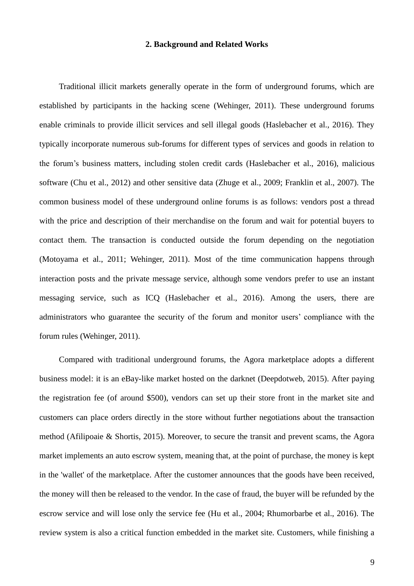## **2. Background and Related Works**

Traditional illicit markets generally operate in the form of underground forums, which are established by participants in the hacking scene (Wehinger, 2011). These underground forums enable criminals to provide illicit services and sell illegal goods (Haslebacher et al., 2016). They typically incorporate numerous sub-forums for different types of services and goods in relation to the forum's business matters, including stolen credit cards (Haslebacher et al., 2016), malicious software (Chu et al., 2012) and other sensitive data (Zhuge et al., 2009; Franklin et al., 2007). The common business model of these underground online forums is as follows: vendors post a thread with the price and description of their merchandise on the forum and wait for potential buyers to contact them. The transaction is conducted outside the forum depending on the negotiation (Motoyama et al., 2011; Wehinger, 2011). Most of the time communication happens through interaction posts and the private message service, although some vendors prefer to use an instant messaging service, such as ICQ (Haslebacher et al., 2016). Among the users, there are administrators who guarantee the security of the forum and monitor users' compliance with the forum rules (Wehinger, 2011).

Compared with traditional underground forums, the Agora marketplace adopts a different business model: it is an eBay-like market hosted on the darknet (Deepdotweb, 2015). After paying the registration fee (of around \$500), vendors can set up their store front in the market site and customers can place orders directly in the store without further negotiations about the transaction method (Afilipoaie & Shortis, 2015). Moreover, to secure the transit and prevent scams, the Agora market implements an auto escrow system, meaning that, at the point of purchase, the money is kept in the 'wallet' of the marketplace. After the customer announces that the goods have been received, the money will then be released to the vendor. In the case of fraud, the buyer will be refunded by the escrow service and will lose only the service fee (Hu et al., 2004; Rhumorbarbe et al., 2016). The review system is also a critical function embedded in the market site. Customers, while finishing a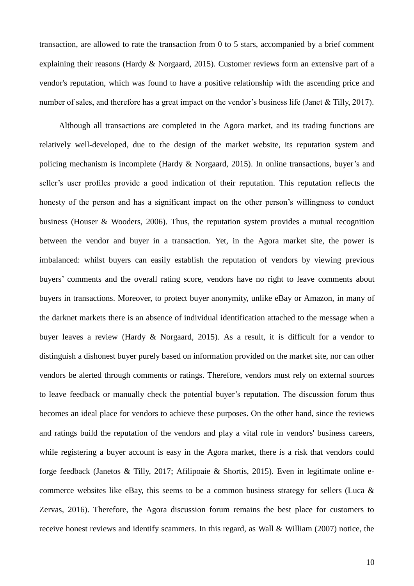transaction, are allowed to rate the transaction from 0 to 5 stars, accompanied by a brief comment explaining their reasons (Hardy & Norgaard, 2015). Customer reviews form an extensive part of a vendor's reputation, which was found to have a positive relationship with the ascending price and number of sales, and therefore has a great impact on the vendor's business life (Janet & Tilly, 2017).

Although all transactions are completed in the Agora market, and its trading functions are relatively well-developed, due to the design of the market website, its reputation system and policing mechanism is incomplete (Hardy & Norgaard, 2015). In online transactions, buyer's and seller's user profiles provide a good indication of their reputation. This reputation reflects the honesty of the person and has a significant impact on the other person's willingness to conduct business (Houser & Wooders, 2006). Thus, the reputation system provides a mutual recognition between the vendor and buyer in a transaction. Yet, in the Agora market site, the power is imbalanced: whilst buyers can easily establish the reputation of vendors by viewing previous buyers' comments and the overall rating score, vendors have no right to leave comments about buyers in transactions. Moreover, to protect buyer anonymity, unlike eBay or Amazon, in many of the darknet markets there is an absence of individual identification attached to the message when a buyer leaves a review (Hardy & Norgaard, 2015). As a result, it is difficult for a vendor to distinguish a dishonest buyer purely based on information provided on the market site, nor can other vendors be alerted through comments or ratings. Therefore, vendors must rely on external sources to leave feedback or manually check the potential buyer's reputation. The discussion forum thus becomes an ideal place for vendors to achieve these purposes. On the other hand, since the reviews and ratings build the reputation of the vendors and play a vital role in vendors' business careers, while registering a buyer account is easy in the Agora market, there is a risk that vendors could forge feedback (Janetos & Tilly, 2017; Afilipoaie & Shortis, 2015). Even in legitimate online ecommerce websites like eBay, this seems to be a common business strategy for sellers (Luca & Zervas, 2016). Therefore, the Agora discussion forum remains the best place for customers to receive honest reviews and identify scammers. In this regard, as Wall & William (2007) notice, the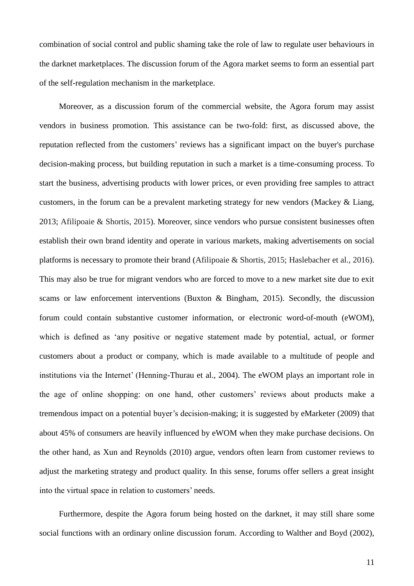combination of social control and public shaming take the role of law to regulate user behaviours in the darknet marketplaces. The discussion forum of the Agora market seems to form an essential part of the self-regulation mechanism in the marketplace.

Moreover, as a discussion forum of the commercial website, the Agora forum may assist vendors in business promotion. This assistance can be two-fold: first, as discussed above, the reputation reflected from the customers' reviews has a significant impact on the buyer's purchase decision-making process, but building reputation in such a market is a time-consuming process. To start the business, advertising products with lower prices, or even providing free samples to attract customers, in the forum can be a prevalent marketing strategy for new vendors (Mackey & Liang, 2013; Afilipoaie & Shortis, 2015). Moreover, since vendors who pursue consistent businesses often establish their own brand identity and operate in various markets, making advertisements on social platforms is necessary to promote their brand (Afilipoaie & Shortis, 2015; Haslebacher et al., 2016). This may also be true for migrant vendors who are forced to move to a new market site due to exit scams or law enforcement interventions (Buxton & Bingham, 2015). Secondly, the discussion forum could contain substantive customer information, or electronic word-of-mouth (eWOM), which is defined as 'any positive or negative statement made by potential, actual, or former customers about a product or company, which is made available to a multitude of people and institutions via the Internet' (Henning-Thurau et al., 2004). The eWOM plays an important role in the age of online shopping: on one hand, other customers' reviews about products make a tremendous impact on a potential buyer's decision-making; it is suggested by eMarketer (2009) that about 45% of consumers are heavily influenced by eWOM when they make purchase decisions. On the other hand, as Xun and Reynolds (2010) argue, vendors often learn from customer reviews to adjust the marketing strategy and product quality. In this sense, forums offer sellers a great insight into the virtual space in relation to customers' needs.

Furthermore, despite the Agora forum being hosted on the darknet, it may still share some social functions with an ordinary online discussion forum. According to Walther and Boyd (2002),

11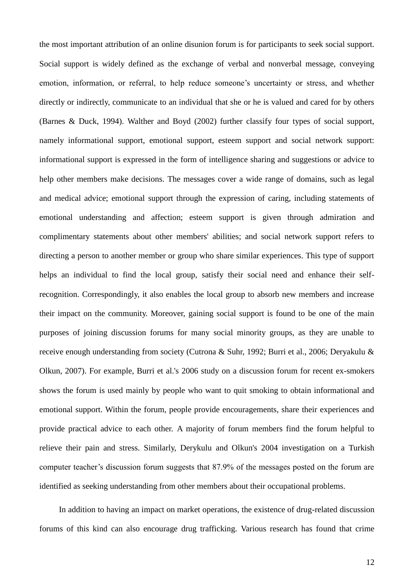the most important attribution of an online disunion forum is for participants to seek social support. Social support is widely defined as the exchange of verbal and nonverbal message, conveying emotion, information, or referral, to help reduce someone's uncertainty or stress, and whether directly or indirectly, communicate to an individual that she or he is valued and cared for by others (Barnes & Duck, 1994). Walther and Boyd (2002) further classify four types of social support, namely informational support, emotional support, esteem support and social network support: informational support is expressed in the form of intelligence sharing and suggestions or advice to help other members make decisions. The messages cover a wide range of domains, such as legal and medical advice; emotional support through the expression of caring, including statements of emotional understanding and affection; esteem support is given through admiration and complimentary statements about other members' abilities; and social network support refers to directing a person to another member or group who share similar experiences. This type of support helps an individual to find the local group, satisfy their social need and enhance their selfrecognition. Correspondingly, it also enables the local group to absorb new members and increase their impact on the community. Moreover, gaining social support is found to be one of the main purposes of joining discussion forums for many social minority groups, as they are unable to receive enough understanding from society (Cutrona & Suhr, 1992; Burri et al., 2006; Deryakulu & Olkun, 2007). For example, Burri et al.'s 2006 study on a discussion forum for recent ex-smokers shows the forum is used mainly by people who want to quit smoking to obtain informational and emotional support. Within the forum, people provide encouragements, share their experiences and provide practical advice to each other. A majority of forum members find the forum helpful to relieve their pain and stress. Similarly, Derykulu and Olkun's 2004 investigation on a Turkish computer teacher's discussion forum suggests that 87.9% of the messages posted on the forum are identified as seeking understanding from other members about their occupational problems.

In addition to having an impact on market operations, the existence of drug-related discussion forums of this kind can also encourage drug trafficking. Various research has found that crime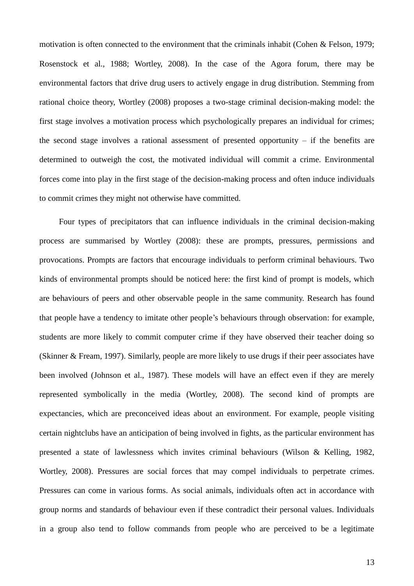motivation is often connected to the environment that the criminals inhabit (Cohen & Felson, 1979; Rosenstock et al., 1988; Wortley, 2008). In the case of the Agora forum, there may be environmental factors that drive drug users to actively engage in drug distribution. Stemming from rational choice theory, Wortley (2008) proposes a two-stage criminal decision-making model: the first stage involves a motivation process which psychologically prepares an individual for crimes; the second stage involves a rational assessment of presented opportunity – if the benefits are determined to outweigh the cost, the motivated individual will commit a crime. Environmental forces come into play in the first stage of the decision-making process and often induce individuals to commit crimes they might not otherwise have committed.

Four types of precipitators that can influence individuals in the criminal decision-making process are summarised by Wortley (2008): these are prompts, pressures, permissions and provocations. Prompts are factors that encourage individuals to perform criminal behaviours. Two kinds of environmental prompts should be noticed here: the first kind of prompt is models, which are behaviours of peers and other observable people in the same community. Research has found that people have a tendency to imitate other people's behaviours through observation: for example, students are more likely to commit computer crime if they have observed their teacher doing so (Skinner & Fream, 1997). Similarly, people are more likely to use drugs if their peer associates have been involved (Johnson et al., 1987). These models will have an effect even if they are merely represented symbolically in the media (Wortley, 2008). The second kind of prompts are expectancies, which are preconceived ideas about an environment. For example, people visiting certain nightclubs have an anticipation of being involved in fights, as the particular environment has presented a state of lawlessness which invites criminal behaviours (Wilson & Kelling, 1982, Wortley, 2008). Pressures are social forces that may compel individuals to perpetrate crimes. Pressures can come in various forms. As social animals, individuals often act in accordance with group norms and standards of behaviour even if these contradict their personal values. Individuals in a group also tend to follow commands from people who are perceived to be a legitimate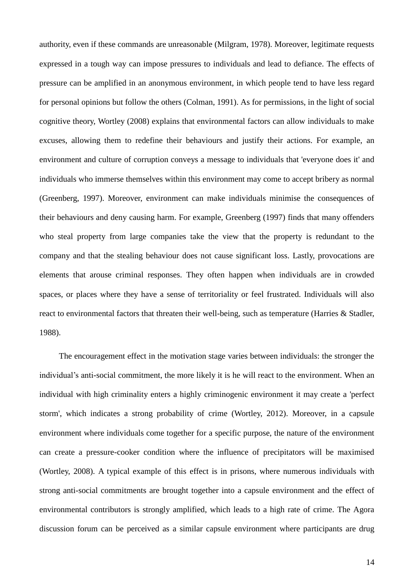authority, even if these commands are unreasonable (Milgram, 1978). Moreover, legitimate requests expressed in a tough way can impose pressures to individuals and lead to defiance. The effects of pressure can be amplified in an anonymous environment, in which people tend to have less regard for personal opinions but follow the others (Colman, 1991). As for permissions, in the light of social cognitive theory, Wortley (2008) explains that environmental factors can allow individuals to make excuses, allowing them to redefine their behaviours and justify their actions. For example, an environment and culture of corruption conveys a message to individuals that 'everyone does it' and individuals who immerse themselves within this environment may come to accept bribery as normal (Greenberg, 1997). Moreover, environment can make individuals minimise the consequences of their behaviours and deny causing harm. For example, Greenberg (1997) finds that many offenders who steal property from large companies take the view that the property is redundant to the company and that the stealing behaviour does not cause significant loss. Lastly, provocations are elements that arouse criminal responses. They often happen when individuals are in crowded spaces, or places where they have a sense of territoriality or feel frustrated. Individuals will also react to environmental factors that threaten their well-being, such as temperature (Harries & Stadler, 1988).

The encouragement effect in the motivation stage varies between individuals: the stronger the individual's anti-social commitment, the more likely it is he will react to the environment. When an individual with high criminality enters a highly criminogenic environment it may create a 'perfect storm', which indicates a strong probability of crime (Wortley, 2012). Moreover, in a capsule environment where individuals come together for a specific purpose, the nature of the environment can create a pressure-cooker condition where the influence of precipitators will be maximised (Wortley, 2008). A typical example of this effect is in prisons, where numerous individuals with strong anti-social commitments are brought together into a capsule environment and the effect of environmental contributors is strongly amplified, which leads to a high rate of crime. The Agora discussion forum can be perceived as a similar capsule environment where participants are drug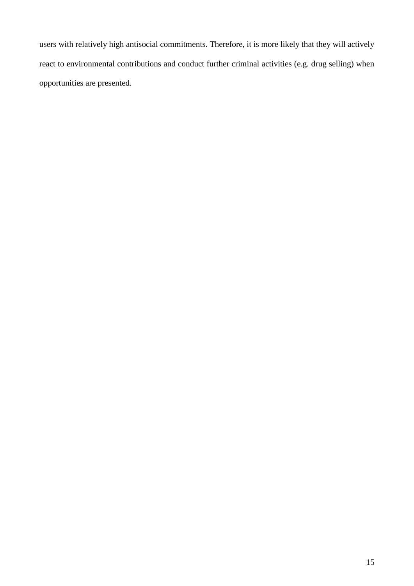users with relatively high antisocial commitments. Therefore, it is more likely that they will actively react to environmental contributions and conduct further criminal activities (e.g. drug selling) when opportunities are presented.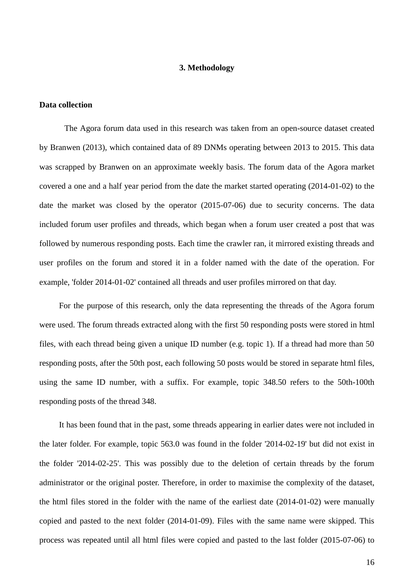### **3. Methodology**

### <span id="page-11-1"></span><span id="page-11-0"></span>**Data collection**

The Agora forum data used in this research was taken from an open-source dataset created by Branwen (2013), which contained data of 89 DNMs operating between 2013 to 2015. This data was scrapped by Branwen on an approximate weekly basis. The forum data of the Agora market covered a one and a half year period from the date the market started operating (2014-01-02) to the date the market was closed by the operator (2015-07-06) due to security concerns. The data included forum user profiles and threads, which began when a forum user created a post that was followed by numerous responding posts. Each time the crawler ran, it mirrored existing threads and user profiles on the forum and stored it in a folder named with the date of the operation. For example, 'folder 2014-01-02' contained all threads and user profiles mirrored on that day.

For the purpose of this research, only the data representing the threads of the Agora forum were used. The forum threads extracted along with the first 50 responding posts were stored in html files, with each thread being given a unique ID number (e.g. topic 1). If a thread had more than 50 responding posts, after the 50th post, each following 50 posts would be stored in separate html files, using the same ID number, with a suffix. For example, topic 348.50 refers to the 50th-100th responding posts of the thread 348.

It has been found that in the past, some threads appearing in earlier dates were not included in the later folder. For example, topic 563.0 was found in the folder '2014-02-19' but did not exist in the folder '2014-02-25'. This was possibly due to the deletion of certain threads by the forum administrator or the original poster. Therefore, in order to maximise the complexity of the dataset, the html files stored in the folder with the name of the earliest date (2014-01-02) were manually copied and pasted to the next folder (2014-01-09). Files with the same name were skipped. This process was repeated until all html files were copied and pasted to the last folder (2015-07-06) to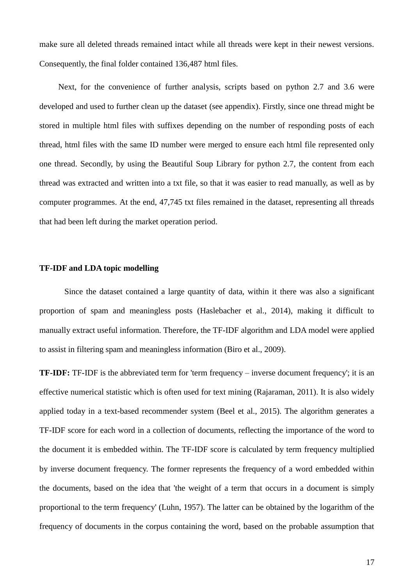make sure all deleted threads remained intact while all threads were kept in their newest versions. Consequently, the final folder contained 136,487 html files.

Next, for the convenience of further analysis, scripts based on python 2.7 and 3.6 were developed and used to further clean up the dataset (see appendix). Firstly, since one thread might be stored in multiple html files with suffixes depending on the number of responding posts of each thread, html files with the same ID number were merged to ensure each html file represented only one thread. Secondly, by using the Beautiful Soup Library for python 2.7, the content from each thread was extracted and written into a txt file, so that it was easier to read manually, as well as by computer programmes. At the end, 47,745 txt files remained in the dataset, representing all threads that had been left during the market operation period.

#### <span id="page-12-0"></span>**TF-IDF and LDA topic modelling**

Since the dataset contained a large quantity of data, within it there was also a significant proportion of spam and meaningless posts (Haslebacher et al., 2014), making it difficult to manually extract useful information. Therefore, the TF-IDF algorithm and LDA model were applied to assist in filtering spam and meaningless information (Biro et al., 2009).

**TF-IDF:** TF-IDF is the abbreviated term for 'term frequency – inverse document frequency'; it is an effective numerical statistic which is often used for text mining (Rajaraman, 2011). It is also widely applied today in a text-based recommender system (Beel et al., 2015). The algorithm generates a TF-IDF score for each word in a collection of documents, reflecting the importance of the word to the document it is embedded within. The TF-IDF score is calculated by term frequency multiplied by inverse document frequency. The former represents the frequency of a word embedded within the documents, based on the idea that 'the weight of a term that occurs in a document is simply proportional to the term frequency' (Luhn, 1957). The latter can be obtained by the logarithm of the frequency of documents in the corpus containing the word, based on the probable assumption that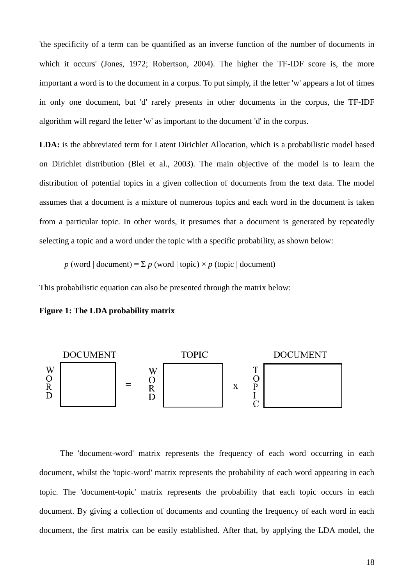'the specificity of a term can be quantified as an inverse function of the number of documents in which it occurs' (Jones, 1972; Robertson, 2004). The higher the TF-IDF score is, the more important a word is to the document in a corpus. To put simply, if the letter 'w' appears a lot of times in only one document, but 'd' rarely presents in other documents in the corpus, the TF-IDF algorithm will regard the letter 'w' as important to the document 'd' in the corpus.

**LDA:** is the abbreviated term for Latent Dirichlet Allocation, which is a probabilistic model based on Dirichlet distribution (Blei et al., 2003). The main objective of the model is to learn the distribution of potential topics in a given collection of documents from the text data. The model assumes that a document is a mixture of numerous topics and each word in the document is taken from a particular topic. In other words, it presumes that a document is generated by repeatedly selecting a topic and a word under the topic with a specific probability, as shown below:

*p* (word | document) =  $\Sigma$  *p* (word | topic)  $\times$  *p* (topic | document)

This probabilistic equation can also be presented through the matrix below:





The 'document-word' matrix represents the frequency of each word occurring in each document, whilst the 'topic-word' matrix represents the probability of each word appearing in each topic. The 'document-topic' matrix represents the probability that each topic occurs in each document. By giving a collection of documents and counting the frequency of each word in each document, the first matrix can be easily established. After that, by applying the LDA model, the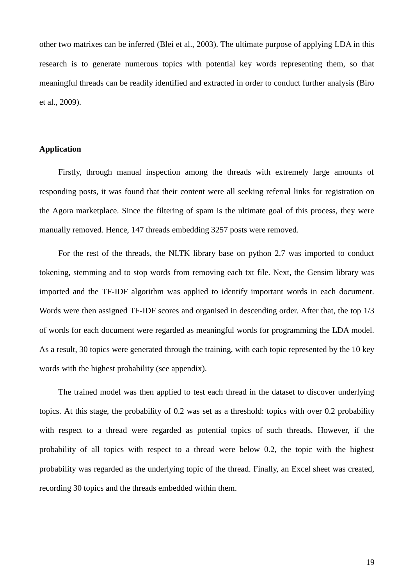other two matrixes can be inferred (Blei et al., 2003). The ultimate purpose of applying LDA in this research is to generate numerous topics with potential key words representing them, so that meaningful threads can be readily identified and extracted in order to conduct further analysis (Biro et al., 2009).

## <span id="page-14-0"></span>**Application**

Firstly, through manual inspection among the threads with extremely large amounts of responding posts, it was found that their content were all seeking referral links for registration on the Agora marketplace. Since the filtering of spam is the ultimate goal of this process, they were manually removed. Hence, 147 threads embedding 3257 posts were removed.

For the rest of the threads, the NLTK library base on python 2.7 was imported to conduct tokening, stemming and to stop words from removing each txt file. Next, the Gensim library was imported and the TF-IDF algorithm was applied to identify important words in each document. Words were then assigned TF-IDF scores and organised in descending order. After that, the top 1/3 of words for each document were regarded as meaningful words for programming the LDA model. As a result, 30 topics were generated through the training, with each topic represented by the 10 key words with the highest probability (see appendix).

The trained model was then applied to test each thread in the dataset to discover underlying topics. At this stage, the probability of 0.2 was set as a threshold: topics with over 0.2 probability with respect to a thread were regarded as potential topics of such threads. However, if the probability of all topics with respect to a thread were below 0.2, the topic with the highest probability was regarded as the underlying topic of the thread. Finally, an Excel sheet was created, recording 30 topics and the threads embedded within them.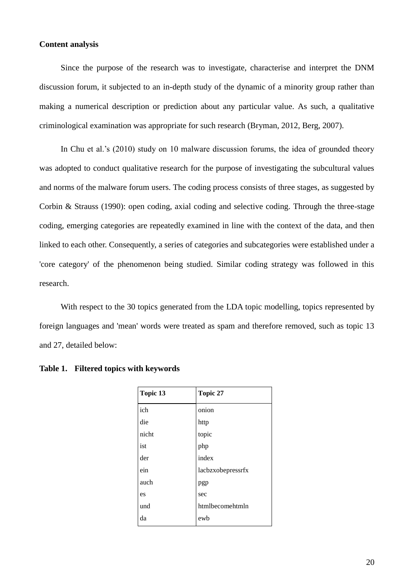## <span id="page-15-0"></span>**Content analysis**

Since the purpose of the research was to investigate, characterise and interpret the DNM discussion forum, it subjected to an in-depth study of the dynamic of a minority group rather than making a numerical description or prediction about any particular value. As such, a qualitative criminological examination was appropriate for such research (Bryman, 2012, Berg, 2007).

In Chu et al.'s (2010) study on 10 malware discussion forums, the idea of grounded theory was adopted to conduct qualitative research for the purpose of investigating the subcultural values and norms of the malware forum users. The coding process consists of three stages, as suggested by Corbin & Strauss (1990): open coding, axial coding and selective coding. Through the three-stage coding, emerging categories are repeatedly examined in line with the context of the data, and then linked to each other. Consequently, a series of categories and subcategories were established under a 'core category' of the phenomenon being studied. Similar coding strategy was followed in this research.

With respect to the 30 topics generated from the LDA topic modelling, topics represented by foreign languages and 'mean' words were treated as spam and therefore removed, such as topic 13 and 27, detailed below:

| Topic 13 | Topic 27          |
|----------|-------------------|
| ich      | onion             |
| die      | http              |
| nicht    | topic             |
| ist      | php               |
| der      | index             |
| ein      | lacbzxobepressrfx |
| auch     | pgp               |
| es       | sec               |
| und      | htmlbecomehtmln   |
| da       | ewb               |

## **Table 1. Filtered topics with keywords**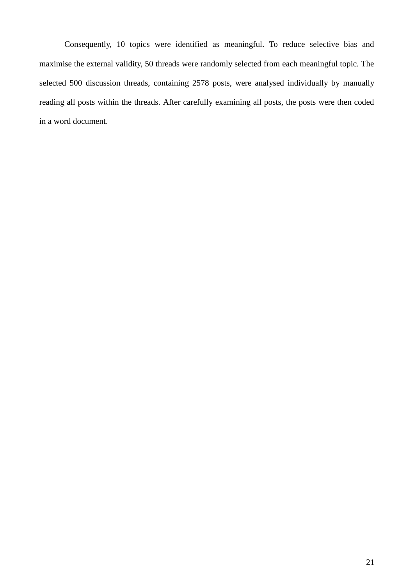Consequently, 10 topics were identified as meaningful. To reduce selective bias and maximise the external validity, 50 threads were randomly selected from each meaningful topic. The selected 500 discussion threads, containing 2578 posts, were analysed individually by manually reading all posts within the threads. After carefully examining all posts, the posts were then coded in a word document.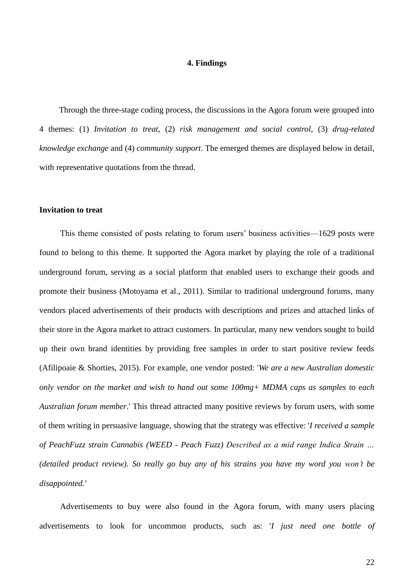#### **4. Findings**

<span id="page-17-0"></span>Through the three-stage coding process, the discussions in the Agora forum were grouped into 4 themes: (1) *Invitation to treat*, (2) *risk management and social control*, (3) *drug-related knowledge exchange* and (4) *community support*. The emerged themes are displayed below in detail, with representative quotations from the thread.

## <span id="page-17-1"></span>**Invitation to treat**

This theme consisted of posts relating to forum users' business activities—1629 posts were found to belong to this theme. It supported the Agora market by playing the role of a traditional underground forum, serving as a social platform that enabled users to exchange their goods and promote their business (Motoyama et al., 2011). Similar to traditional underground forums, many vendors placed advertisements of their products with descriptions and prizes and attached links of their store in the Agora market to attract customers. In particular, many new vendors sought to build up their own brand identities by providing free samples in order to start positive review feeds (Afilipoaie & Shorties, 2015). For example, one vendor posted: '*We are a new Australian domestic only vendor on the market and wish to hand out some 100mg+ MDMA caps as samples to each Australian forum member*.' This thread attracted many positive reviews by forum users, with some of them writing in persuasive language, showing that the strategy was effective: '*I received a sample of PeachFuzz strain Cannabis (WEED - [Peach Fuzz\)](http://agorahooawayyfoe.onion/p/W2jt0gwKL2) Described as a mid range Indica Strain … (detailed product review). So really go buy any of his strains you have my word you won't be disappointed.'*

Advertisements to buy were also found in the Agora forum, with many users placing advertisements to look for uncommon products, such as: '*I just need one bottle of*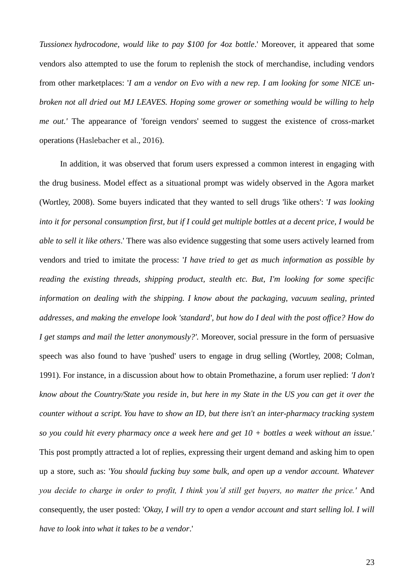*Tussionex hydrocodone, would like to pay \$100 for 4oz bottle*.' Moreover, it appeared that some vendors also attempted to use the forum to replenish the stock of merchandise, including vendors from other marketplaces: '*I am a vendor on Evo with a new rep. I am looking for some NICE unbroken not all dried out MJ LEAVES. Hoping some grower or something would be willing to help me out.'* The appearance of 'foreign vendors' seemed to suggest the existence of cross-market operations (Haslebacher et al., 2016).

In addition, it was observed that forum users expressed a common interest in engaging with the drug business. Model effect as a situational prompt was widely observed in the Agora market (Wortley, 2008). Some buyers indicated that they wanted to sell drugs 'like others': '*I was looking into it for personal consumption first, but if I could get multiple bottles at a decent price, I would be able to sell it like others*.' There was also evidence suggesting that some users actively learned from vendors and tried to imitate the process: '*I have tried to get as much information as possible by reading the existing threads, shipping product, stealth etc. But, I'm looking for some specific information on dealing with the shipping. I know about the packaging, vacuum sealing, printed addresses, and making the envelope look 'standard', but how do I deal with the post office? How do I get stamps and mail the letter anonymously?'.* Moreover, social pressure in the form of persuasive speech was also found to have 'pushed' users to engage in drug selling (Wortley, 2008; Colman, 1991). For instance, in a discussion about how to obtain Promethazine, a forum user replied: *'I don't know about the Country/State you reside in, but here in my State in the US you can get it over the counter without a script. You have to show an ID, but there isn't an inter-pharmacy tracking system so you could hit every pharmacy once a week here and get 10 + bottles a week without an issue.'*  This post promptly attracted a lot of replies, expressing their urgent demand and asking him to open up a store, such as: '*You should fucking buy some bulk, and open up a vendor account. Whatever you decide to charge in order to profit, I think you'd still get buyers, no matter the price.'* And consequently, the user posted: '*Okay, I will try to open a vendor account and start selling lol. I will have to look into what it takes to be a vendor*.'

23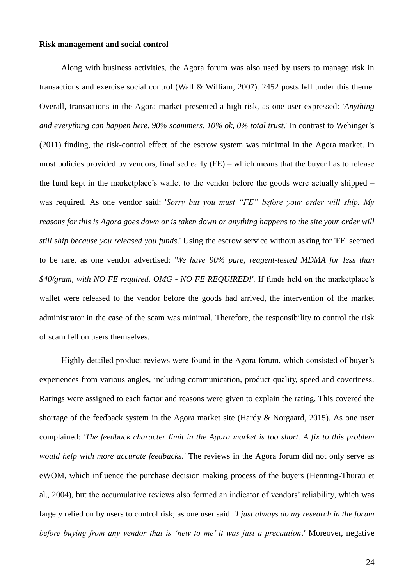## <span id="page-19-0"></span>**Risk management and social control**

Along with business activities, the Agora forum was also used by users to manage risk in transactions and exercise social control (Wall & William, 2007). 2452 posts fell under this theme. Overall, transactions in the Agora market presented a high risk, as one user expressed: '*Anything and everything can happen here. 90% scammers, 10% ok, 0% total trust*.' In contrast to Wehinger's (2011) finding, the risk-control effect of the escrow system was minimal in the Agora market. In most policies provided by vendors, finalised early (FE) – which means that the buyer has to release the fund kept in the marketplace's wallet to the vendor before the goods were actually shipped – was required. As one vendor said: '*Sorry but you must "FE" before your order will ship. My reasons for this is Agora goes down or is taken down or anything happens to the site your order will still ship because you released you funds*.' Using the escrow service without asking for 'FE' seemed to be rare, as one vendor advertised: '*We have 90% pure, reagent-tested MDMA for less than \$40/gram, with NO FE required. OMG - NO FE REQUIRED!'.* If funds held on the marketplace's wallet were released to the vendor before the goods had arrived, the intervention of the market administrator in the case of the scam was minimal. Therefore, the responsibility to control the risk of scam fell on users themselves.

Highly detailed product reviews were found in the Agora forum, which consisted of buyer's experiences from various angles, including communication, product quality, speed and covertness. Ratings were assigned to each factor and reasons were given to explain the rating. This covered the shortage of the feedback system in the Agora market site (Hardy & Norgaard, 2015). As one user complained: *'The feedback character limit in the Agora market is too short. A fix to this problem would help with more accurate feedbacks.'* The reviews in the Agora forum did not only serve as eWOM, which influence the purchase decision making process of the buyers (Henning-Thurau et al., 2004), but the accumulative reviews also formed an indicator of vendors' reliability, which was largely relied on by users to control risk; as one user said: '*I just always do my research in the forum before buying from any vendor that is 'new to me' it was just a precaution*.*'* Moreover, negative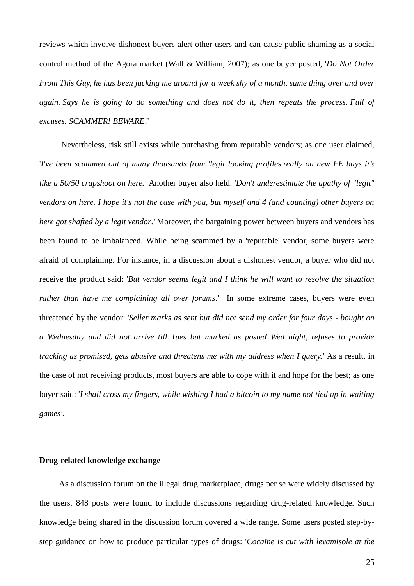reviews which involve dishonest buyers alert other users and can cause public shaming as a social control method of the Agora market (Wall & William, 2007); as one buyer posted, '*Do Not Order From This Guy, he has been jacking me around for a week shy of a month, same thing over and over again. Says he is going to do something and does not do it, then repeats the process. Full of excuses. SCAMMER! BEWARE*!'

Nevertheless, risk still exists while purchasing from reputable vendors; as one user claimed, '*I've been scammed out of many thousands from 'legit looking profiles really on new FE buys it's like a 50/50 crapshoot on here.'* Another buyer also held: '*Don't underestimate the apathy of "legit" vendors on here. I hope it's not the case with you, but myself and 4 (and counting) other buyers on here got shafted by a legit vendor*.' Moreover, the bargaining power between buyers and vendors has been found to be imbalanced. While being scammed by a 'reputable' vendor, some buyers were afraid of complaining. For instance, in a discussion about a dishonest vendor, a buyer who did not receive the product said: '*But vendor seems legit and I think he will want to resolve the situation rather than have me complaining all over forums*.' In some extreme cases, buyers were even threatened by the vendor: '*Seller marks as sent but did not send my order for four days - bought on a Wednesday and did not arrive till Tues but marked as posted Wed night, refuses to provide tracking as promised, gets abusive and threatens me with my address when I query.'* As a result, in the case of not receiving products, most buyers are able to cope with it and hope for the best; as one buyer said: '*I shall cross my fingers, while wishing I had a bitcoin to my name not tied up in waiting games'.*

## <span id="page-20-0"></span>**Drug-related knowledge exchange**

As a discussion forum on the illegal drug marketplace, drugs per se were widely discussed by the users. 848 posts were found to include discussions regarding drug-related knowledge. Such knowledge being shared in the discussion forum covered a wide range. Some users posted step-bystep guidance on how to produce particular types of drugs: '*Cocaine is cut with levamisole at the*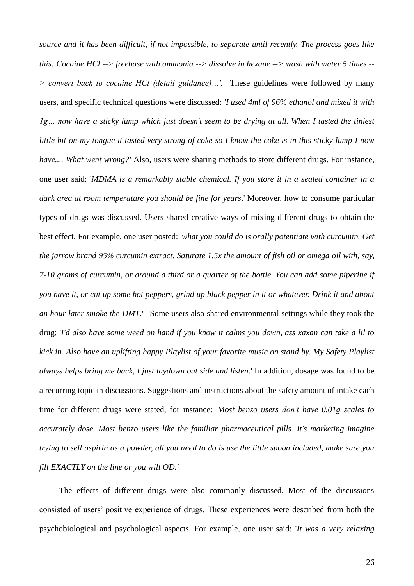*source and it has been difficult, if not impossible, to separate until recently. The process goes like this: Cocaine HCl --> freebase with ammonia --> dissolve in hexane --> wash with water 5 times -- > convert back to cocaine HCl (detail guidance)…'.* These guidelines were followed by many users, and specific technical questions were discussed: *'I used 4ml of 96% ethanol and mixed it with 1g… now have a sticky lump which just doesn't seem to be drying at all. When I tasted the tiniest little bit on my tongue it tasted very strong of coke so I know the coke is in this sticky lump I now have.... What went wrong?'* Also, users were sharing methods to store different drugs. For instance, one user said: '*MDMA is a remarkably stable chemical. If you store it in a sealed container in a dark area at room temperature you should be fine for years*.' Moreover, how to consume particular types of drugs was discussed. Users shared creative ways of mixing different drugs to obtain the best effect. For example, one user posted: '*what you could do is orally potentiate with curcumin. Get the jarrow brand 95% curcumin extract. Saturate 1.5x the amount of fish oil or omega oil with, say, 7-10 grams of curcumin, or around a third or a quarter of the bottle. You can add some piperine if you have it, or cut up some hot peppers, grind up black pepper in it or whatever. Drink it and about an hour later smoke the DMT*.' Some users also shared environmental settings while they took the drug: '*I'd also have some weed on hand if you know it calms you down, ass xaxan can take a lil to kick in. Also have an uplifting happy Playlist of your favorite music on stand by. My Safety Playlist always helps bring me back, I just laydown out side and listen*.' In addition, dosage was found to be a recurring topic in discussions. Suggestions and instructions about the safety amount of intake each time for different drugs were stated, for instance: '*Most benzo users don't have 0.01g scales to accurately dose. Most benzo users like the familiar pharmaceutical pills. It's marketing imagine trying to sell aspirin as a powder, all you need to do is use the little spoon included, make sure you fill EXACTLY on the line or you will OD.'*

The effects of different drugs were also commonly discussed. Most of the discussions consisted of users' positive experience of drugs. These experiences were described from both the psychobiological and psychological aspects. For example, one user said: '*It was a very relaxing*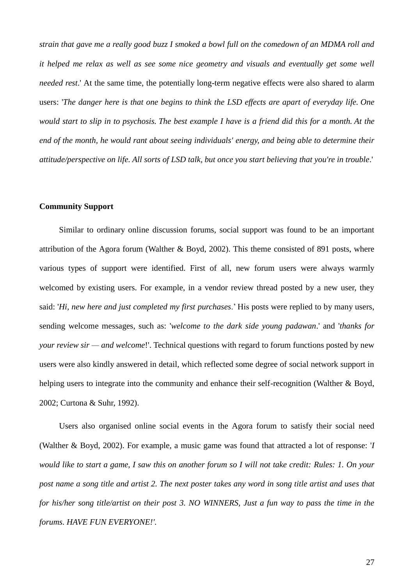*strain that gave me a really good buzz I smoked a bowl full on the comedown of an MDMA roll and it helped me relax as well as see some nice geometry and visuals and eventually get some well needed rest*.' At the same time, the potentially long-term negative effects were also shared to alarm users: '*The danger here is that one begins to think the LSD effects are apart of everyday life. One would start to slip in to psychosis. The best example I have is a friend did this for a month. At the end of the month, he would rant about seeing individuals' energy, and being able to determine their attitude/perspective on life. All sorts of LSD talk, but once you start believing that you're in trouble*.'

#### <span id="page-22-0"></span>**Community Support**

Similar to ordinary online discussion forums, social support was found to be an important attribution of the Agora forum (Walther  $\&$  Boyd, 2002). This theme consisted of 891 posts, where various types of support were identified. First of all, new forum users were always warmly welcomed by existing users. For example, in a vendor review thread posted by a new user, they said: '*Hi, new here and just completed my first purchases*.' His posts were replied to by many users, sending welcome messages, such as: '*welcome to the dark side young padawan*.' and '*thanks for your review sir — and welcome*!'. Technical questions with regard to forum functions posted by new users were also kindly answered in detail, which reflected some degree of social network support in helping users to integrate into the community and enhance their self-recognition (Walther & Boyd, 2002; Curtona & Suhr, 1992).

Users also organised online social events in the Agora forum to satisfy their social need (Walther & Boyd, 2002). For example, a music game was found that attracted a lot of response: '*I would like to start a game, I saw this on another forum so I will not take credit: Rules: 1. On your post name a song title and artist 2. The next poster takes any word in song title artist and uses that for his/her song title/artist on their post 3. NO WINNERS, Just a fun way to pass the time in the forums. HAVE FUN EVERYONE!'.*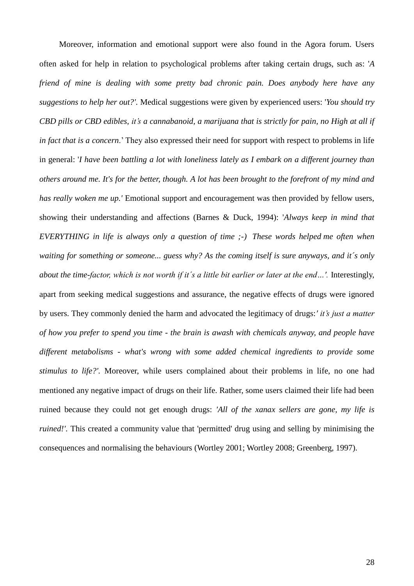Moreover, information and emotional support were also found in the Agora forum. Users often asked for help in relation to psychological problems after taking certain drugs, such as: '*A friend of mine is dealing with some pretty bad chronic pain. Does anybody here have any suggestions to help her out?'.* Medical suggestions were given by experienced users: '*You should try CBD pills or CBD edibles, it's a cannabanoid, a marijuana that is strictly for pain, no High at all if in fact that is a concern*.' They also expressed their need for support with respect to problems in life in general: '*I have been battling a lot with loneliness lately as I embark on a different journey than others around me. It's for the better, though. A lot has been brought to the forefront of my mind and has really woken me up.'* Emotional support and encouragement was then provided by fellow users, showing their understanding and affections (Barnes & Duck, 1994): '*Always keep in mind that EVERYTHING in life is always only a question of time ;-) These words helped me often when waiting for something or someone... guess why? As the coming itself is sure anyways, and it´s only about the time-factor, which is not worth if it´s a little bit earlier or later at the end…'.* Interestingly, apart from seeking medical suggestions and assurance, the negative effects of drugs were ignored by users. They commonly denied the harm and advocated the legitimacy of drugs:*' it's just a matter of how you prefer to spend you time - the brain is awash with chemicals anyway, and people have different metabolisms - what's wrong with some added chemical ingredients to provide some stimulus to life?'.* Moreover, while users complained about their problems in life, no one had mentioned any negative impact of drugs on their life. Rather, some users claimed their life had been ruined because they could not get enough drugs: *'All of the xanax sellers are gone, my life is ruined!'*. This created a community value that 'permitted' drug using and selling by minimising the consequences and normalising the behaviours (Wortley 2001; Wortley 2008; Greenberg, 1997).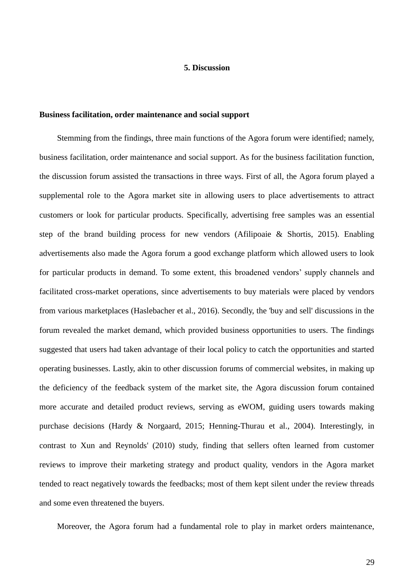## **5. Discussion**

#### <span id="page-24-1"></span><span id="page-24-0"></span>**Business facilitation, order maintenance and social support**

Stemming from the findings, three main functions of the Agora forum were identified; namely, business facilitation, order maintenance and social support. As for the business facilitation function, the discussion forum assisted the transactions in three ways. First of all, the Agora forum played a supplemental role to the Agora market site in allowing users to place advertisements to attract customers or look for particular products. Specifically, advertising free samples was an essential step of the brand building process for new vendors (Afilipoaie & Shortis, 2015). Enabling advertisements also made the Agora forum a good exchange platform which allowed users to look for particular products in demand. To some extent, this broadened vendors' supply channels and facilitated cross-market operations, since advertisements to buy materials were placed by vendors from various marketplaces (Haslebacher et al., 2016). Secondly, the 'buy and sell' discussions in the forum revealed the market demand, which provided business opportunities to users. The findings suggested that users had taken advantage of their local policy to catch the opportunities and started operating businesses. Lastly, akin to other discussion forums of commercial websites, in making up the deficiency of the feedback system of the market site, the Agora discussion forum contained more accurate and detailed product reviews, serving as eWOM, guiding users towards making purchase decisions (Hardy & Norgaard, 2015; Henning-Thurau et al., 2004). Interestingly, in contrast to Xun and Reynolds' (2010) study, finding that sellers often learned from customer reviews to improve their marketing strategy and product quality, vendors in the Agora market tended to react negatively towards the feedbacks; most of them kept silent under the review threads and some even threatened the buyers.

Moreover, the Agora forum had a fundamental role to play in market orders maintenance,

29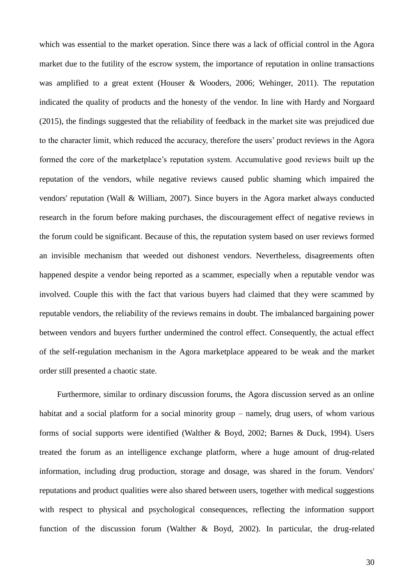which was essential to the market operation. Since there was a lack of official control in the Agora market due to the futility of the escrow system, the importance of reputation in online transactions was amplified to a great extent (Houser & Wooders, 2006; Wehinger, 2011). The reputation indicated the quality of products and the honesty of the vendor. In line with Hardy and Norgaard (2015), the findings suggested that the reliability of feedback in the market site was prejudiced due to the character limit, which reduced the accuracy, therefore the users' product reviews in the Agora formed the core of the marketplace's reputation system. Accumulative good reviews built up the reputation of the vendors, while negative reviews caused public shaming which impaired the vendors' reputation (Wall & William, 2007). Since buyers in the Agora market always conducted research in the forum before making purchases, the discouragement effect of negative reviews in the forum could be significant. Because of this, the reputation system based on user reviews formed an invisible mechanism that weeded out dishonest vendors. Nevertheless, disagreements often happened despite a vendor being reported as a scammer, especially when a reputable vendor was involved. Couple this with the fact that various buyers had claimed that they were scammed by reputable vendors, the reliability of the reviews remains in doubt. The imbalanced bargaining power between vendors and buyers further undermined the control effect. Consequently, the actual effect of the self-regulation mechanism in the Agora marketplace appeared to be weak and the market order still presented a chaotic state.

Furthermore, similar to ordinary discussion forums, the Agora discussion served as an online habitat and a social platform for a social minority group – namely, drug users, of whom various forms of social supports were identified (Walther & Boyd, 2002; Barnes & Duck, 1994). Users treated the forum as an intelligence exchange platform, where a huge amount of drug-related information, including drug production, storage and dosage, was shared in the forum. Vendors' reputations and product qualities were also shared between users, together with medical suggestions with respect to physical and psychological consequences, reflecting the information support function of the discussion forum (Walther & Boyd, 2002). In particular, the drug-related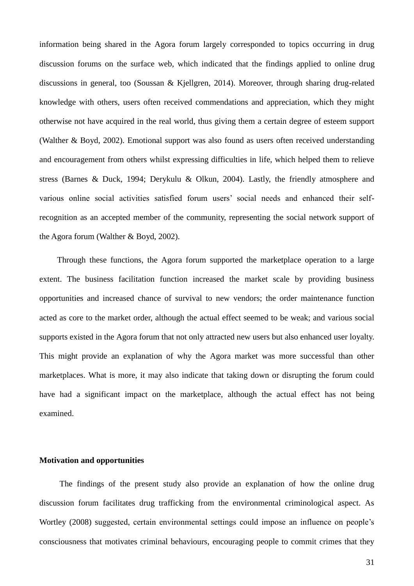information being shared in the Agora forum largely corresponded to topics occurring in drug discussion forums on the surface web, which indicated that the findings applied to online drug discussions in general, too (Soussan & Kjellgren, 2014). Moreover, through sharing drug-related knowledge with others, users often received commendations and appreciation, which they might otherwise not have acquired in the real world, thus giving them a certain degree of esteem support (Walther & Boyd, 2002). Emotional support was also found as users often received understanding and encouragement from others whilst expressing difficulties in life, which helped them to relieve stress (Barnes & Duck, 1994; Derykulu & Olkun, 2004). Lastly, the friendly atmosphere and various online social activities satisfied forum users' social needs and enhanced their selfrecognition as an accepted member of the community, representing the social network support of the Agora forum (Walther & Boyd, 2002).

Through these functions, the Agora forum supported the marketplace operation to a large extent. The business facilitation function increased the market scale by providing business opportunities and increased chance of survival to new vendors; the order maintenance function acted as core to the market order, although the actual effect seemed to be weak; and various social supports existed in the Agora forum that not only attracted new users but also enhanced user loyalty. This might provide an explanation of why the Agora market was more successful than other marketplaces. What is more, it may also indicate that taking down or disrupting the forum could have had a significant impact on the marketplace, although the actual effect has not being examined.

### <span id="page-26-0"></span>**Motivation and opportunities**

The findings of the present study also provide an explanation of how the online drug discussion forum facilitates drug trafficking from the environmental criminological aspect. As Wortley (2008) suggested, certain environmental settings could impose an influence on people's consciousness that motivates criminal behaviours, encouraging people to commit crimes that they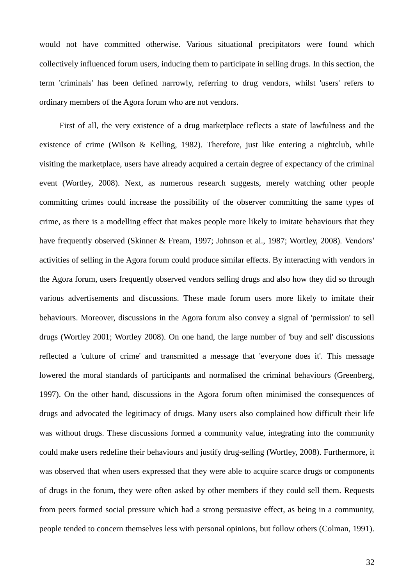would not have committed otherwise. Various situational precipitators were found which collectively influenced forum users, inducing them to participate in selling drugs. In this section, the term 'criminals' has been defined narrowly, referring to drug vendors, whilst 'users' refers to ordinary members of the Agora forum who are not vendors.

First of all, the very existence of a drug marketplace reflects a state of lawfulness and the existence of crime (Wilson & Kelling, 1982). Therefore, just like entering a nightclub, while visiting the marketplace, users have already acquired a certain degree of expectancy of the criminal event (Wortley, 2008). Next, as numerous research suggests, merely watching other people committing crimes could increase the possibility of the observer committing the same types of crime, as there is a modelling effect that makes people more likely to imitate behaviours that they have frequently observed (Skinner & Fream, 1997; Johnson et al., 1987; Wortley, 2008). Vendors' activities of selling in the Agora forum could produce similar effects. By interacting with vendors in the Agora forum, users frequently observed vendors selling drugs and also how they did so through various advertisements and discussions. These made forum users more likely to imitate their behaviours. Moreover, discussions in the Agora forum also convey a signal of 'permission' to sell drugs (Wortley 2001; Wortley 2008). On one hand, the large number of 'buy and sell' discussions reflected a 'culture of crime' and transmitted a message that 'everyone does it'. This message lowered the moral standards of participants and normalised the criminal behaviours (Greenberg, 1997). On the other hand, discussions in the Agora forum often minimised the consequences of drugs and advocated the legitimacy of drugs. Many users also complained how difficult their life was without drugs. These discussions formed a community value, integrating into the community could make users redefine their behaviours and justify drug-selling (Wortley, 2008). Furthermore, it was observed that when users expressed that they were able to acquire scarce drugs or components of drugs in the forum, they were often asked by other members if they could sell them. Requests from peers formed social pressure which had a strong persuasive effect, as being in a community, people tended to concern themselves less with personal opinions, but follow others (Colman, 1991).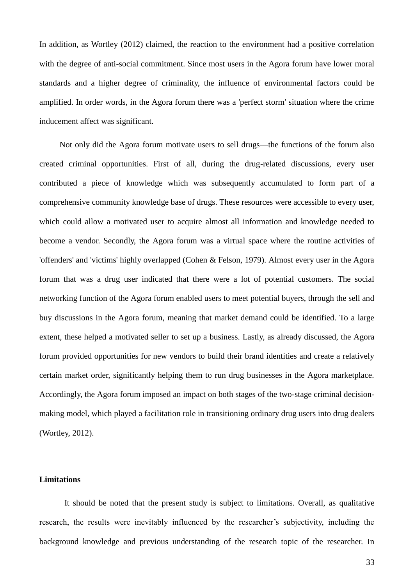In addition, as Wortley (2012) claimed, the reaction to the environment had a positive correlation with the degree of anti-social commitment. Since most users in the Agora forum have lower moral standards and a higher degree of criminality, the influence of environmental factors could be amplified. In order words, in the Agora forum there was a 'perfect storm' situation where the crime inducement affect was significant.

Not only did the Agora forum motivate users to sell drugs—the functions of the forum also created criminal opportunities. First of all, during the drug-related discussions, every user contributed a piece of knowledge which was subsequently accumulated to form part of a comprehensive community knowledge base of drugs. These resources were accessible to every user, which could allow a motivated user to acquire almost all information and knowledge needed to become a vendor. Secondly, the Agora forum was a virtual space where the routine activities of 'offenders' and 'victims' highly overlapped (Cohen & Felson, 1979). Almost every user in the Agora forum that was a drug user indicated that there were a lot of potential customers. The social networking function of the Agora forum enabled users to meet potential buyers, through the sell and buy discussions in the Agora forum, meaning that market demand could be identified. To a large extent, these helped a motivated seller to set up a business. Lastly, as already discussed, the Agora forum provided opportunities for new vendors to build their brand identities and create a relatively certain market order, significantly helping them to run drug businesses in the Agora marketplace. Accordingly, the Agora forum imposed an impact on both stages of the two-stage criminal decisionmaking model, which played a facilitation role in transitioning ordinary drug users into drug dealers (Wortley, 2012).

## <span id="page-28-0"></span>**Limitations**

It should be noted that the present study is subject to limitations. Overall, as qualitative research, the results were inevitably influenced by the researcher's subjectivity, including the background knowledge and previous understanding of the research topic of the researcher. In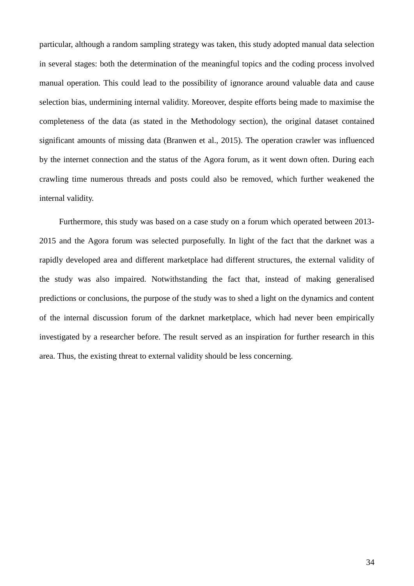particular, although a random sampling strategy was taken, this study adopted manual data selection in several stages: both the determination of the meaningful topics and the coding process involved manual operation. This could lead to the possibility of ignorance around valuable data and cause selection bias, undermining internal validity. Moreover, despite efforts being made to maximise the completeness of the data (as stated in the Methodology section), the original dataset contained significant amounts of missing data (Branwen et al., 2015). The operation crawler was influenced by the internet connection and the status of the Agora forum, as it went down often. During each crawling time numerous threads and posts could also be removed, which further weakened the internal validity.

Furthermore, this study was based on a case study on a forum which operated between 2013- 2015 and the Agora forum was selected purposefully. In light of the fact that the darknet was a rapidly developed area and different marketplace had different structures, the external validity of the study was also impaired. Notwithstanding the fact that, instead of making generalised predictions or conclusions, the purpose of the study was to shed a light on the dynamics and content of the internal discussion forum of the darknet marketplace, which had never been empirically investigated by a researcher before. The result served as an inspiration for further research in this area. Thus, the existing threat to external validity should be less concerning.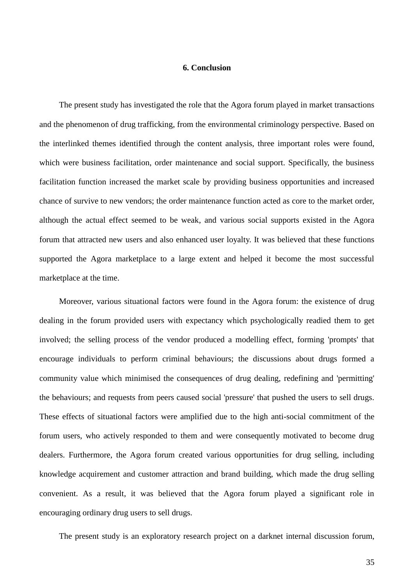## **6. Conclusion**

<span id="page-30-0"></span>The present study has investigated the role that the Agora forum played in market transactions and the phenomenon of drug trafficking, from the environmental criminology perspective. Based on the interlinked themes identified through the content analysis, three important roles were found, which were business facilitation, order maintenance and social support. Specifically, the business facilitation function increased the market scale by providing business opportunities and increased chance of survive to new vendors; the order maintenance function acted as core to the market order, although the actual effect seemed to be weak, and various social supports existed in the Agora forum that attracted new users and also enhanced user loyalty. It was believed that these functions supported the Agora marketplace to a large extent and helped it become the most successful marketplace at the time.

Moreover, various situational factors were found in the Agora forum: the existence of drug dealing in the forum provided users with expectancy which psychologically readied them to get involved; the selling process of the vendor produced a modelling effect, forming 'prompts' that encourage individuals to perform criminal behaviours; the discussions about drugs formed a community value which minimised the consequences of drug dealing, redefining and 'permitting' the behaviours; and requests from peers caused social 'pressure' that pushed the users to sell drugs. These effects of situational factors were amplified due to the high anti-social commitment of the forum users, who actively responded to them and were consequently motivated to become drug dealers. Furthermore, the Agora forum created various opportunities for drug selling, including knowledge acquirement and customer attraction and brand building, which made the drug selling convenient. As a result, it was believed that the Agora forum played a significant role in encouraging ordinary drug users to sell drugs.

The present study is an exploratory research project on a darknet internal discussion forum,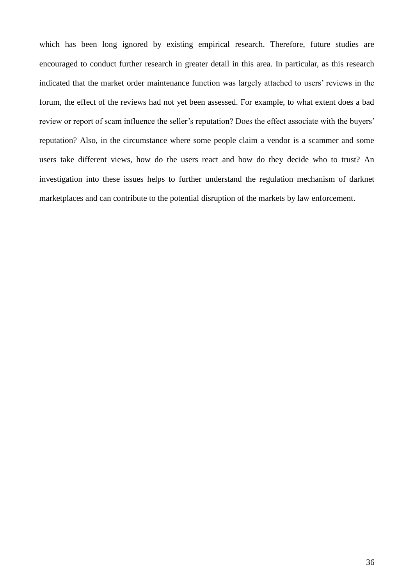which has been long ignored by existing empirical research. Therefore, future studies are encouraged to conduct further research in greater detail in this area. In particular, as this research indicated that the market order maintenance function was largely attached to users' reviews in the forum, the effect of the reviews had not yet been assessed. For example, to what extent does a bad review or report of scam influence the seller's reputation? Does the effect associate with the buyers' reputation? Also, in the circumstance where some people claim a vendor is a scammer and some users take different views, how do the users react and how do they decide who to trust? An investigation into these issues helps to further understand the regulation mechanism of darknet marketplaces and can contribute to the potential disruption of the markets by law enforcement.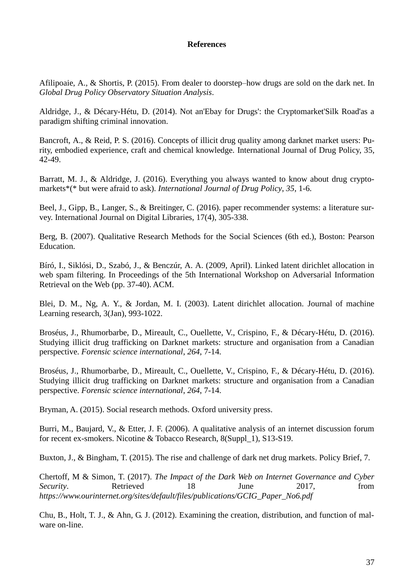## **References**

<span id="page-32-0"></span>Afilipoaie, A., & Shortis, P. (2015). From dealer to doorstep–how drugs are sold on the dark net. In *Global Drug Policy Observatory Situation Analysis*.

Aldridge, J., & Décary-Hétu, D. (2014). Not an'Ebay for Drugs': the Cryptomarket'Silk Road'as a paradigm shifting criminal innovation.

Bancroft, A., & Reid, P. S. (2016). Concepts of illicit drug quality among darknet market users: Purity, embodied experience, craft and chemical knowledge. International Journal of Drug Policy, 35, 42-49.

Barratt, M. J., & Aldridge, J. (2016). Everything you always wanted to know about drug cryptomarkets\*(\* but were afraid to ask). *International Journal of Drug Policy*, *35*, 1-6.

Beel, J., Gipp, B., Langer, S., & Breitinger, C. (2016). paper recommender systems: a literature survey. International Journal on Digital Libraries, 17(4), 305-338.

Berg, B. (2007). Qualitative Research Methods for the Social Sciences (6th ed.), Boston: Pearson Education.

Bíró, I., Siklósi, D., Szabó, J., & Benczúr, A. A. (2009, April). Linked latent dirichlet allocation in web spam filtering. In Proceedings of the 5th International Workshop on Adversarial Information Retrieval on the Web (pp. 37-40). ACM.

Blei, D. M., Ng, A. Y., & Jordan, M. I. (2003). Latent dirichlet allocation. Journal of machine Learning research, 3(Jan), 993-1022.

Broséus, J., Rhumorbarbe, D., Mireault, C., Ouellette, V., Crispino, F., & Décary-Hétu, D. (2016). Studying illicit drug trafficking on Darknet markets: structure and organisation from a Canadian perspective. *Forensic science international*, *264*, 7-14.

Broséus, J., Rhumorbarbe, D., Mireault, C., Ouellette, V., Crispino, F., & Décary-Hétu, D. (2016). Studying illicit drug trafficking on Darknet markets: structure and organisation from a Canadian perspective. *Forensic science international*, *264*, 7-14.

Bryman, A. (2015). Social research methods. Oxford university press.

Burri, M., Baujard, V., & Etter, J. F. (2006). A qualitative analysis of an internet discussion forum for recent ex-smokers. Nicotine & Tobacco Research, 8(Suppl\_1), S13-S19.

Buxton, J., & Bingham, T. (2015). The rise and challenge of dark net drug markets. Policy Brief, 7.

Chertoff, M & Simon, T. (2017). *The Impact of the Dark Web on Internet Governance and Cyber Security*. Retrieved 18 June 2017, from *[https://www.ourinternet.org/sites/default/files/publications/GCIG\\_Paper\\_No6.pdf](https://www.ourinternet.org/sites/default/files/publications/GCIG_Paper_No6.pdf)*

Chu, B., Holt, T. J., & Ahn, G. J. (2012). Examining the creation, distribution, and function of malware on-line.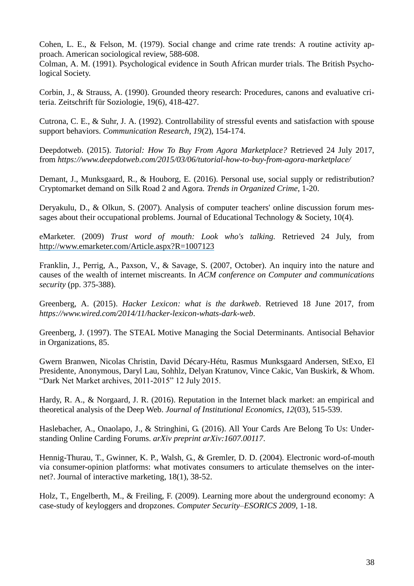Cohen, L. E., & Felson, M. (1979). Social change and crime rate trends: A routine activity approach. American sociological review, 588-608.

Colman, A. M. (1991). Psychological evidence in South African murder trials. The British Psychological Society.

Corbin, J., & Strauss, A. (1990). Grounded theory research: Procedures, canons and evaluative criteria. Zeitschrift für Soziologie, 19(6), 418-427.

Cutrona, C. E., & Suhr, J. A. (1992). Controllability of stressful events and satisfaction with spouse support behaviors. *Communication Research*, *19*(2), 154-174.

Deepdotweb. (2015). *Tutorial: How To Buy From Agora Marketplace?* Retrieved 24 July 2017, from *<https://www.deepdotweb.com/2015/03/06/tutorial-how-to-buy-from-agora-marketplace/>*

Demant, J., Munksgaard, R., & Houborg, E. (2016). Personal use, social supply or redistribution? Cryptomarket demand on Silk Road 2 and Agora. *Trends in Organized Crime*, 1-20.

Deryakulu, D., & Olkun, S. (2007). Analysis of computer teachers' online discussion forum messages about their occupational problems. Journal of Educational Technology & Society, 10(4).

eMarketer. (2009) *Trust word of mouth: Look who's talking.* Retrieved 24 July, from [http://www.emarketer.com/Article.aspx?R=1007123](http://www.emarketer.com/Article.aspx%3FR=1007123)

Franklin, J., Perrig, A., Paxson, V., & Savage, S. (2007, October). An inquiry into the nature and causes of the wealth of internet miscreants. In *ACM conference on Computer and communications security* (pp. 375-388).

Greenberg, A. (2015). *Hacker Lexicon: what is the darkweb*. Retrieved 18 June 2017, from *<https://www.wired.com/2014/11/hacker-lexicon-whats-dark-web>*.

Greenberg, J. (1997). The STEAL Motive Managing the Social Determinants. Antisocial Behavior in Organizations, 85.

Gwern Branwen, Nicolas Christin, David Décary-Hétu, Rasmus Munksgaard Andersen, StExo, El Presidente, Anonymous, Daryl Lau, Sohhlz, Delyan Kratunov, Vince Cakic, Van Buskirk, & Whom. "Dark Net Market archives, 2011-2015" 12 July 2015.

Hardy, R. A., & Norgaard, J. R. (2016). Reputation in the Internet black market: an empirical and theoretical analysis of the Deep Web. *Journal of Institutional Economics*, *12*(03), 515-539.

Haslebacher, A., Onaolapo, J., & Stringhini, G. (2016). All Your Cards Are Belong To Us: Understanding Online Carding Forums. *arXiv preprint arXiv:1607.00117*.

Hennig-Thurau, T., Gwinner, K. P., Walsh, G., & Gremler, D. D. (2004). Electronic word-of-mouth via consumer-opinion platforms: what motivates consumers to articulate themselves on the internet?. Journal of interactive marketing, 18(1), 38-52.

Holz, T., Engelberth, M., & Freiling, F. (2009). Learning more about the underground economy: A case-study of keyloggers and dropzones. *Computer Security–ESORICS 2009*, 1-18.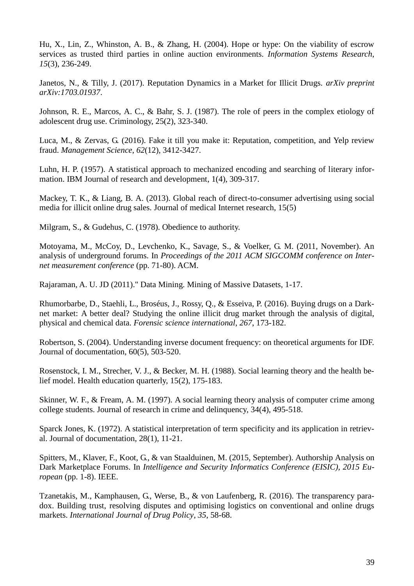Hu, X., Lin, Z., Whinston, A. B., & Zhang, H. (2004). Hope or hype: On the viability of escrow services as trusted third parties in online auction environments. *Information Systems Research*, *15*(3), 236-249.

Janetos, N., & Tilly, J. (2017). Reputation Dynamics in a Market for Illicit Drugs. *arXiv preprint arXiv:1703.01937*.

Johnson, R. E., Marcos, A. C., & Bahr, S. J. (1987). The role of peers in the complex etiology of adolescent drug use. Criminology, 25(2), 323-340.

Luca, M., & Zervas, G. (2016). Fake it till you make it: Reputation, competition, and Yelp review fraud. *Management Science*, *62*(12), 3412-3427.

Luhn, H. P. (1957). A statistical approach to mechanized encoding and searching of literary information. IBM Journal of research and development, 1(4), 309-317.

Mackey, T. K., & Liang, B. A. (2013). Global reach of direct-to-consumer advertising using social media for illicit online drug sales. Journal of medical Internet research, 15(5)

Milgram, S., & Gudehus, C. (1978). Obedience to authority.

Motoyama, M., McCoy, D., Levchenko, K., Savage, S., & Voelker, G. M. (2011, November). An analysis of underground forums. In *Proceedings of the 2011 ACM SIGCOMM conference on Internet measurement conference* (pp. 71-80). ACM.

Rajaraman, A. U. JD (2011)." Data Mining. Mining of Massive Datasets, 1-17.

Rhumorbarbe, D., Staehli, L., Broséus, J., Rossy, Q., & Esseiva, P. (2016). Buying drugs on a Darknet market: A better deal? Studying the online illicit drug market through the analysis of digital, physical and chemical data. *Forensic science international*, *267*, 173-182.

Robertson, S. (2004). Understanding inverse document frequency: on theoretical arguments for IDF. Journal of documentation, 60(5), 503-520.

Rosenstock, I. M., Strecher, V. J., & Becker, M. H. (1988). Social learning theory and the health belief model. Health education quarterly, 15(2), 175-183.

Skinner, W. F., & Fream, A. M. (1997). A social learning theory analysis of computer crime among college students. Journal of research in crime and delinquency, 34(4), 495-518.

Sparck Jones, K. (1972). A statistical interpretation of term specificity and its application in retrieval. Journal of documentation, 28(1), 11-21.

Spitters, M., Klaver, F., Koot, G., & van Staalduinen, M. (2015, September). Authorship Analysis on Dark Marketplace Forums. In *Intelligence and Security Informatics Conference (EISIC), 2015 European* (pp. 1-8). IEEE.

Tzanetakis, M., Kamphausen, G., Werse, B., & von Laufenberg, R. (2016). The transparency paradox. Building trust, resolving disputes and optimising logistics on conventional and online drugs markets. *International Journal of Drug Policy*, *35*, 58-68.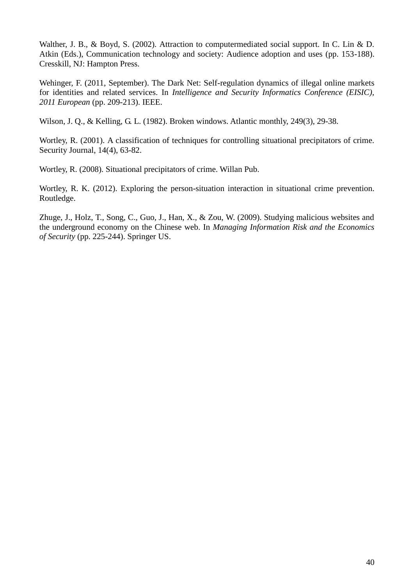Walther, J. B., & Boyd, S. (2002). Attraction to computermediated social support. In C. Lin & D. Atkin (Eds.), Communication technology and society: Audience adoption and uses (pp. 153-188). Cresskill, NJ: Hampton Press.

Wehinger, F. (2011, September). The Dark Net: Self-regulation dynamics of illegal online markets for identities and related services. In *Intelligence and Security Informatics Conference (EISIC), 2011 European* (pp. 209-213). IEEE.

Wilson, J. Q., & Kelling, G. L. (1982). Broken windows. Atlantic monthly, 249(3), 29-38.

Wortley, R. (2001). A classification of techniques for controlling situational precipitators of crime. Security Journal, 14(4), 63-82.

Wortley, R. (2008). Situational precipitators of crime. Willan Pub.

Wortley, R. K. (2012). Exploring the person-situation interaction in situational crime prevention. Routledge.

Zhuge, J., Holz, T., Song, C., Guo, J., Han, X., & Zou, W. (2009). Studying malicious websites and the underground economy on the Chinese web. In *Managing Information Risk and the Economics of Security* (pp. 225-244). Springer US.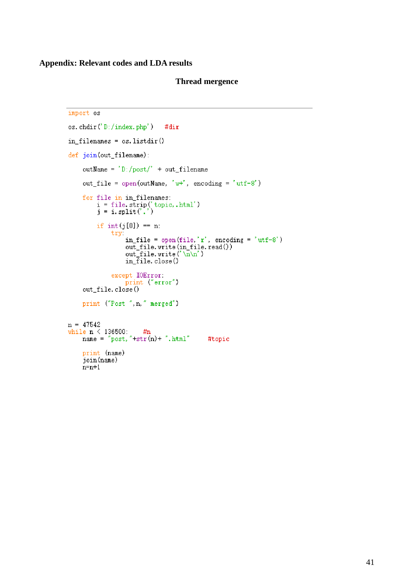## **Appendix: Relevant codes and LDA results**

### **Thread mergence**

```
import os
os.chdir('D:/index.php')
                                   #dir
in filenames = os. listdir()
def join(out_filename):
     outName = ^{'}D: /post/<sup>'</sup> + out_filename
     out file = open(outName, 'w+', encoding = 'utf-8')
     for file in in_filenames:<br>
i = file.strip('topic,.html')<br>
j = i.split('.')
          if int(j[0]) == n:
               try:
                     in_file = open(file,'r', encoding = 'utf-8')
                    out_file.write(in_file.read())<br>out_file.write('\n\n')<br>in_file.close()
               except IOError:
                    print ("error")
     out file.close()
     print ("Post ", n, " merged")
n = 47542while n \le 136500: #n<br>name = "post, "+str(n)+ ".html"
                                                   #topic
     print (name)
     join(name)
     n=n+1
```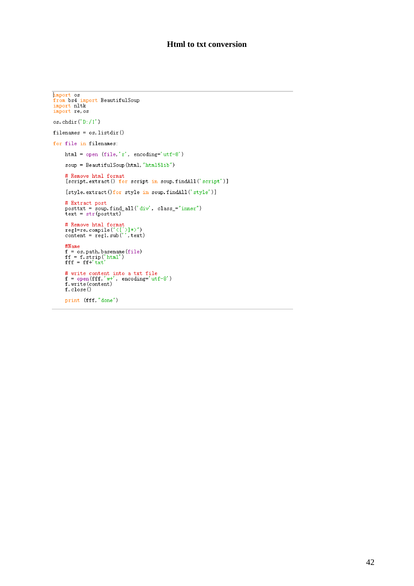## **Html to txt conversion**

```
Exercise 18<br>
from bs4 import BeautifulSoup<br>
import nltk<br>
import re.os
os.chdir('D://1')filenames = os. listdir()for file in filenames:
       html = open (file, 'r', encoding='utf-8')
        soup = BeautifulSoup(html,"html5lib")
       # Remove html format<br>[script.extract() for script in soup.findAll('script')]
        [style.extract()for style in soup.findAll('style')]
       \begin{array}{ll} \text{\# Extract post} \\ \text{posttxt = soup.find_all('div', class='inner")} \\ \text{text = str (posttxt) } \end{array}# Remove html format<br>regi=re.compile("<[^>]*>")<br>content = regi.sub('',text)
        \# \mathbb{N}ame
       www.<br>f = os.path.basename(file)<br>ff = f.strip('html')<br>fff = ff+'txt'
       # write content into a txt file<br>
f = open(fff,'w+', encoding='utf-8')<br>
f.write(content)<br>
f.close()
        print (fff, "done")
```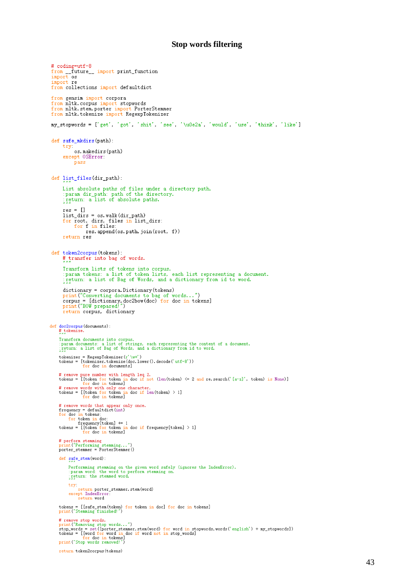#### **Stop words filtering**

```
# coding=utf-8
 from ______ future_____ import print_function<br>import os
 import re
 from collections import defaultdict
 from gensim import corpora
 from nitk.corpus import stopwords<br>from nitk.stem.porter import PorterStemmer<br>from nitk.tokenize import RegexpTokenizer
 my_stopwords = ['get', 'got', 'shit', 'see', '\u0e2a', 'would', 'use', 'think', 'like']
 def safe_mkdirs(path):
         {\tt try}os.makedirs(path)
         except OSError:
               pass
 def list_files(dir_path):
        List absolute paths of files under a directory path.<br>:param dir_path: path of the directory.<br>:return: a list of absolute paths.
         res = []list_dirs = os.walk(dir_path)<br>for root, dirs, files in list_dirs;<br>for f in files;
                        res. append (os. path. join (root, f))
         return res
 def token2corpus(tokens):
         # transfer into bag of words.
         Transform lists of tokens into corpus.<br>:param tokens: a list of token lists, each list representing a document.<br>:return: a list of Bag of Words, and a dictionary from id to word.
        dictionary = corpora.Dictionary(tokens)<br>print("Converting documents to bag of words...")<br>corpus = [dictionary.doc2bow(doc) for doc in tokens]<br>print("BOW prepared!")
         return corpus, dictionary
def doc2corpus(documents):<br># tokenize.
      Transform documents into corpus.<br>:param documents: a list of strings, each representing the content of a document.<br>:return: a list of Bag of Words, and a dictionary from id to word.
      # remove pure number with length leq 2.<br>
tokens = [[token for token in doc if not (len(token) \leq 2 and re.search('[a-z]', token) is None)]<br>
# remove words with only one character.<br>
tokens = [[token for token in doc if 
      # remove words that appear only once.<br>
frequency = default<br>dict(int)<br>
for doc in tokens:<br>
for token in doc:<br>
frequency[token] + 1<br>
tokens = [[token for token in doc if frequency[token] > 1]<br>
for doc in tokens]
      # perform stemming<br>print("Performing stemming...")<br>porter_stemmer = PorterStemmer()
       def safe_stem(word):
            Performming stemming on the given word safely (ignores the IndexError).<br>:param word: the word to perform stemming on.<br>:return: the stemmed word.
             try.
            rry.<br>return porter_stemmer.stem(word)<br>except IndexError:<br>return word
      tokens = [[safe_stem(token) for token in doc] for doc in tokens] print("Stemming finished!")
      # remove stop words.
      # renove stop words...")<br>print("Removing stop words...")<br>stop_words = set([porter_stemmer.stem(word) for word in stopwords.words('english') + my_stopwords])<br>tokens = [[word for word in doc if word not in stop_words]<br>consec
      print ("Stop words removed!")
       return token2corpus (tokens)
```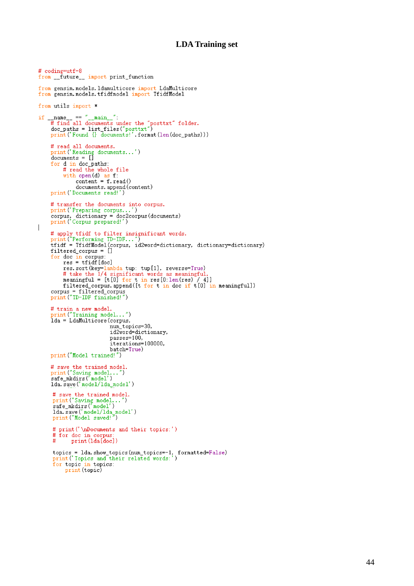### **LDA Training set**

```
# coding=utf-8
from __future__ import print_function
from gensim. models. Idamulticore import LdaMulticore
from gensim. models. tfidfmodel import TfidfModel
from utils import *
# read all documents.<br>print('Reading documents...')<br>documents = []
      for d in doc_paths:
            # read the whole file
            with open(d) as f:<br>
content = f.read()
                   documents. append (content)
      print ('Documents read!')
      # transfer the documents into corpus.<br>print('Preparing corpus...')<br>corpus, dictionary = doc2corpus(documents)<br>print('Corpus prepared!')
      # apply tfidf to filter insignificant words.<br>
print("Performing TD-IDF...")<br>
tfidf = TfidfModel(corpus, id2word=dictionary, dictionary=dictionary)<br>
filtered_corpus = []
      for doc in corpus:<br>res = tfidf[doc]
            res. sort (key=lambda tup: tup[i], reverse=True)<br># take the 1/4 significant words as meaningful.<br>meaningful = [t[0] for t in res[0:len(res) / 4]]
            filtered_corpus.append([t for t in doc if t[0] in meaningful])
      corpus = filtered_corpus<br>print("TD-IDF finished!")
      # train a new model.
      print ("Training model...")
      lda = LdaMulticore (corpus,
                                   num_topics=30,
                                    id2word=dictionary,
                                    passes=100,
                                    iterations=100000,
      batch=True)<br>print("Model trained!")
      # save the trained model.<br>print("Saving model...")<br>safe_mkdirs('model')
      lda.save('model/lda_model')
       # save the trained model.<br>print("Saving model...")<br>safe_mkdirs('model')
       lda.save('model/lda_model')<br>print("Model saved!")
       # print('\nDocuments and their topics:')
       # for doc in corpus
                print (1da[doc])
       #topics = 1da.show_topics(num_topics=-1, formatted=False)<br>print('Topics and their related words:')
       for topic in topics:<br>print(topic)
```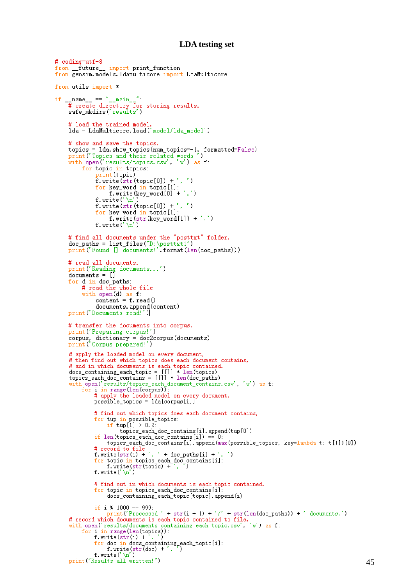### **LDA testing set**

```
# coding=utf-8
from future_
                            import print_function
from gensim.models.ldamulticore import LdaMulticore
from utils import *
if \frac{1}{\text{name}} = \frac{m}{\text{mean}} = \frac{m}{\text{mean}}:<br>
# create directory for storing results.<br>
safe_mkdirs('results')
       # load the trained model.
       1da = LdaMulticore. load('model/1da_model')# show and save the topics.
       topics = 1da.show_topics(num_topics=-1, formatted=False)<br>print('Topics and their related words:')<br>with open('results/topics.csv', 'w') as f:
              for topic in topics:<br>print(topic)
                     f.write(str(topic[0]) + ', ')<br>for key_word in topic[1]:
                             f. write (key_word [0] + ',')
                     f.write('\n')<br>f.write('\n')<br>f.write('\n')<br>f.w.lestr (topic[0]) + ', ')<br>f.w.best word in topic[1].
                      for key_word in topic[1]:
                             f.write(str(key_word[1]) + ',')
                      f.write(' \n\pi')# find all documents under the "posttxt" folder.
       \text{doc}_\text{paths} = \text{list}_\text{files("D:\text{postx1}'') }<br>
\text{print('Found} \{\} \text{ documents!}'.\text{format}(\text{len}(doc_\text{paths}))\}# read all documents.<br>print('Reading documents...')
       documents = []for d in doc_paths:<br># read the whole file
              with open(d) as f:<br>with open(d) as f:<br>content = f.read()
                      documents. append(content)
       print ('Documents read!')
       # transfer the documents into corpus.<br>print('Preparing corpus!')
       corpus, dictionary = doc2corpus(documents)<br>print('Corpus prepared!')
       # apply the loaded model on every document,
       # apply the loaded model on every document,<br>
# then find out which topics does each document contains,<br>
# and in which documents is each topic contained.<br>
does_containing_each_topic = [[]] * len(topics)<br>
topics_each_doc_c
       with open("results/topics_each_document_contains, csv', 'w') as f:<br>with open("results/topics_each_document_contains.csv', 'w') as f:<br>for i in range(len(corpus)):<br># apply the loaded model on every document,<br>possible_topics 
                     # find out which topics does each document contains,
                     for tup in possible_topics:<br>if tup[1] > 0.2:
                     topics_each_doc_contains[i].append(tup[0])<br>if len(topics_each_doc_contains[i]) == 0:
                           topics_each_doc_contains[i].append(max(possible_topics, key=lambda t: t[1])[0])
                     # record to file
                     f. write(str(i) + ', ' + doc_paths[i] +
                     for topic in topics each doc contains [i]:<br>f.write(str(topic) +',')<br>f.write('\n')
                     # find out in which documents is each topic contained.
                     for topic in topics_each_doc_contains[i]:
                            docs_containing_each_topic[topic].append(i)
                     if i % 1000 == 999:
                            print ('Processed ' + str(i + 1) + '/' + str(len(doc_paths)) + ' documents.')
       # record which documents is each topic contained to file.<br>with open('results/documents is each topic contained to file.<br>with open('results/documents_containing_each_topic.csv', 'w') as f:<br>for i in range(len(topics)):<br>f.wri
                     for doc in docs_containing_each_topic[i]:<br>f.write(str(doc) + ', ')
       f.write('\n')<br>print("Results all written!")
```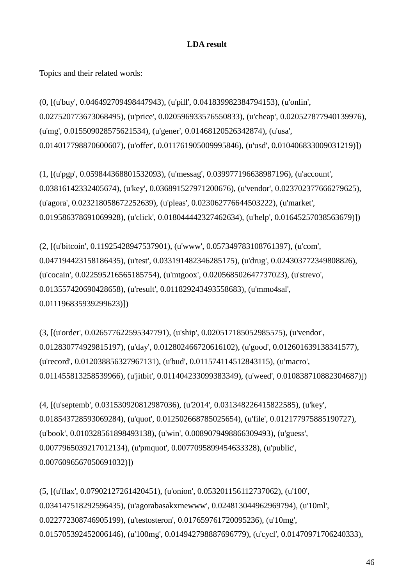# **LDA result**

Topics and their related words:

(0, [(u'buy', 0.046492709498447943), (u'pill', 0.041839982384794153), (u'onlin', 0.027520773673068495), (u'price', 0.020596933576550833), (u'cheap', 0.020527877940139976), (u'mg', 0.015509028575621534), (u'gener', 0.01468120526342874), (u'usa', 0.014017798870600607), (u'offer', 0.011761905009995846), (u'usd', 0.010406833009031219)])

(1, [(u'pgp', 0.059844368801532093), (u'messag', 0.039977196638987196), (u'account', 0.03816142332405674), (u'key', 0.036891527971200676), (u'vendor', 0.023702377666279625), (u'agora', 0.023218058672252639), (u'pleas', 0.023062776644503222), (u'market', 0.019586378691069928), (u'click', 0.018044442327462634), (u'help', 0.01645257038563679)])

(2, [(u'bitcoin', 0.11925428947537901), (u'www', 0.057349783108761397), (u'com', 0.047194423158186435), (u'test', 0.033191482346285175), (u'drug', 0.024303772349808826), (u'cocain', 0.022595216565185754), (u'mtgoox', 0.020568502647737023), (u'strevo', 0.013557420690428658), (u'result', 0.011829243493558683), (u'mmo4sal', 0.011196835939299623)])

(3, [(u'order', 0.026577622595347791), (u'ship', 0.020517185052985575), (u'vendor', 0.012830774929815197), (u'day', 0.012802466720616102), (u'good', 0.012601639138341577), (u'record', 0.012038856327967131), (u'bud', 0.011574114512843115), (u'macro', 0.011455813258539966), (u'jitbit', 0.011404233099383349), (u'weed', 0.010838710882304687)])

(4, [(u'septemb', 0.031530920812987036), (u'2014', 0.031348226415822585), (u'key', 0.018543728593069284), (u'quot', 0.012502668785025654), (u'file', 0.012177975885190727), (u'book', 0.010328561898493138), (u'win', 0.0089079498866309493), (u'guess', 0.0077965039217012134), (u'pmquot', 0.0077095899454633328), (u'public', 0.0076096567050691032)])

(5, [(u'flax', 0.07902127261420451), (u'onion', 0.053201156112737062), (u'100', 0.034147518292596435), (u'agorabasakxmewww', 0.024813044962969794), (u'10ml', 0.022772308746905199), (u'testosteron', 0.017659761720095236), (u'10mg', 0.015705392452006146), (u'100mg', 0.014942798887696779), (u'cycl', 0.01470971706240333),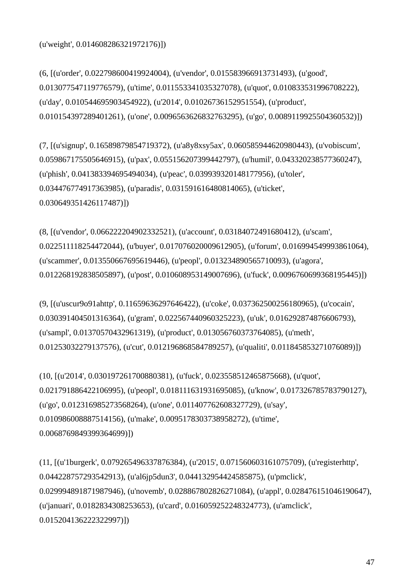(u'weight', 0.014608286321972176)])

(6, [(u'order', 0.022798600419924004), (u'vendor', 0.015583966913731493), (u'good', 0.013077547119776579), (u'time', 0.011553341035327078), (u'quot', 0.010833531996708222), (u'day', 0.010544695903454922), (u'2014', 0.01026736152951554), (u'product', 0.010154397289401261), (u'one', 0.0096563626832763295), (u'go', 0.0089119925504360532)])

(7, [(u'signup', 0.16589879854719372), (u'a8y8xsy5ax', 0.060585944620980443), (u'vobiscum', 0.059867175505646915), (u'pax', 0.055156207399442797), (u'humil', 0.043320238577360247), (u'phish', 0.041383394695494034), (u'peac', 0.039939320148177956), (u'toler', 0.034476774917363985), (u'paradis', 0.031591616480814065), (u'ticket', 0.030649351426117487)])

(8, [(u'vendor', 0.066222204902332521), (u'account', 0.03184072491680412), (u'scam', 0.022511118254472044), (u'buyer', 0.017076020009612905), (u'forum', 0.016994549993861064), (u'scammer', 0.013550667695619446), (u'peopl', 0.013234890565710093), (u'agora', 0.012268192838505897), (u'post', 0.010608953149007696), (u'fuck', 0.0096760699368195445)])

(9, [(u'uscur9o91ahttp', 0.11659636297646422), (u'coke', 0.037362500256180965), (u'cocain', 0.030391404501316364), (u'gram', 0.022567440960325223), (u'uk', 0.016292874876606793), (u'sampl', 0.01370570432961319), (u'product', 0.013056760373764085), (u'meth', 0.01253032279137576), (u'cut', 0.012196868584789257), (u'qualiti', 0.011845853271076089)])

(10, [(u'2014', 0.030197261700880381), (u'fuck', 0.023558512465875668), (u'quot', 0.021791886422106995), (u'peopl', 0.018111631931695085), (u'know', 0.017326785783790127), (u'go', 0.012316985273568264), (u'one', 0.011407762608327729), (u'say', 0.010986008887514156), (u'make', 0.0095178303738958272), (u'time', 0.0068769849399364699)])

(11, [(u'1burgerk', 0.079265496337876384), (u'2015', 0.071560603161075709), (u'registerhttp', 0.044228757293542913), (u'al6jp5dun3', 0.044132954424585875), (u'pmclick', 0.029994891871987946), (u'novemb', 0.028867802826271084), (u'appl', 0.028476151046190647), (u'januari', 0.0182834308253653), (u'card', 0.016059252248324773), (u'amclick', 0.015204136222322997)])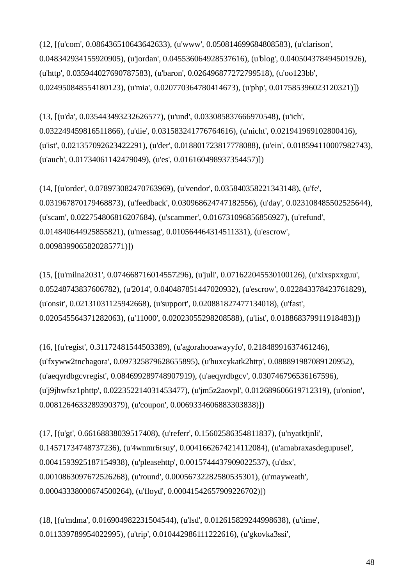(12, [(u'com', 0.086436510643642633), (u'www', 0.050814699684808583), (u'clarison', 0.048342934155920905), (u'jordan', 0.045536064928537616), (u'blog', 0.040504378494501926), (u'http', 0.035944027690787583), (u'baron', 0.026496877272799518), (u'oo123bb', 0.024950848554180123), (u'mia', 0.020770364780414673), (u'php', 0.017585396023120321)])

(13, [(u'da', 0.035443493232626577), (u'und', 0.033085837666970548), (u'ich', 0.032249459816511866), (u'die', 0.031583241776764616), (u'nicht', 0.021941969102800416), (u'ist', 0.021357092623422291), (u'der', 0.018801723817778088), (u'ein', 0.018594110007982743), (u'auch', 0.01734061142479049), (u'es', 0.016160498937354457)])

(14, [(u'order', 0.078973082470763969), (u'vendor', 0.035840358221343148), (u'fe', 0.031967870179468873), (u'feedback', 0.030968624747182556), (u'day', 0.023108485502525644), (u'scam', 0.022754806816207684), (u'scammer', 0.016731096856856927), (u'refund', 0.014840644925855821), (u'messag', 0.010564464314511331), (u'escrow', 0.0098399065820285771)])

(15, [(u'milna2031', 0.074668716014557296), (u'juli', 0.071622045530100126), (u'xixspxxguu', 0.05248743837606782), (u'2014', 0.040487851447020932), (u'escrow', 0.022843378423761829), (u'onsit', 0.02131031125942668), (u'support', 0.020881827477134018), (u'fast', 0.020545564371282063), (u'11000', 0.02023055298208588), (u'list', 0.018868379911918483)])

(16, [(u'regist', 0.31172481544503389), (u'agorahooawayyfo', 0.21848991637461246), (u'fxyww2tnchagora', 0.097325879628655895), (u'huxcykatk2http', 0.088891987089120952), (u'aeqyrdbgcvregist', 0.084699289748907919), (u'aeqyrdbgcv', 0.030746796536167596), (u'j9jhwfsz1phttp', 0.022352214031453477), (u'jm5z2aovpl', 0.012689606619712319), (u'onion', 0.0081264633289390379), (u'coupon', 0.0069334606883303838)])

(17, [(u'gt', 0.66168838039517408), (u'referr', 0.15602586354811837), (u'nyatktjnli', 0.14571734748737236), (u'4wnmr6rsuy', 0.0041662674214112084), (u'amabraxasdegupusel', 0.0041593925187154938), (u'pleasehttp', 0.0015744437909022537), (u'dsx', 0.0010863097672526268), (u'round', 0.00056732282580535301), (u'mayweath', 0.00043338000674500264), (u'floyd', 0.00041542657909226702)])

(18, [(u'mdma', 0.016904982231504544), (u'lsd', 0.012615829244998638), (u'time', 0.011339789954022995), (u'trip', 0.010442986111222616), (u'gkovka3ssi',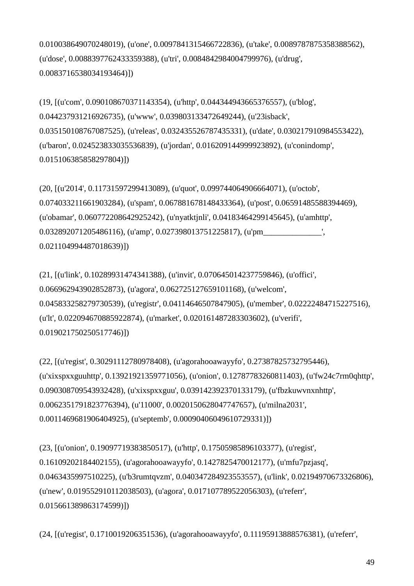0.010038649070248019), (u'one', 0.0097841315466722836), (u'take', 0.0089787875358388562), (u'dose', 0.0088397762433359388), (u'tri', 0.0084842984004799976), (u'drug', 0.0083716538034193464)])

(19, [(u'com', 0.090108670371143354), (u'http', 0.044344943665376557), (u'blog', 0.044237931216926735), (u'www', 0.039803133472649244), (u'23isback', 0.035150108767087525), (u'releas', 0.032435526787435331), (u'date', 0.030217910984553422), (u'baron', 0.024523833035536839), (u'jordan', 0.016209144999923892), (u'conindomp', 0.015106385858297804)])

(20, [(u'2014', 0.11731597299413089), (u'quot', 0.099744064906664071), (u'octob', 0.074033211661903284), (u'spam', 0.067881678148433364), (u'post', 0.06591485588394469), (u'obamar', 0.060772208642925242), (u'nyatktjnli', 0.04183464299145645), (u'amhttp', 0.032892071205486116), (u'amp', 0.027398013751225817), (u'pm\_\_\_\_\_\_\_\_\_\_\_\_\_\_\_\_\_\_\_\_ 0.021104994487018639)])

(21, [(u'link', 0.10289931474341388), (u'invit', 0.070645014237759846), (u'offici', 0.066962943902852873), (u'agora', 0.062725127659101168), (u'welcom', 0.045833258279730539), (u'registr', 0.04114646507847905), (u'member', 0.02222484715227516), (u'lt', 0.022094670885922874), (u'market', 0.020161487283303602), (u'verifi', 0.019021750250517746)])

(22, [(u'regist', 0.30291112780978408), (u'agorahooawayyfo', 0.27387825732795446), (u'xixspxxguuhttp', 0.13921921359771056), (u'onion', 0.12787783260811403), (u'fw24c7rm0qhttp', 0.090308709543932428), (u'xixspxxguu', 0.039142392370133179), (u'fbzkuwvnxnhttp', 0.0062351791823776394), (u'11000', 0.0020150628047747657), (u'milna2031', 0.0011469681906404925), (u'septemb', 0.00090406049610729331)])

(23, [(u'onion', 0.19097719383850517), (u'http', 0.17505985896103377), (u'regist', 0.16109202184402155), (u'agorahooawayyfo', 0.1427825470012177), (u'mfu7pzjasq', 0.0463435997510225), (u'b3rumtqvzm', 0.040347284923553557), (u'link', 0.02194970673326806), (u'new', 0.019552910112038503), (u'agora', 0.017107789522056303), (u'referr', 0.015661389863174599)])

(24, [(u'regist', 0.1710019206351536), (u'agorahooawayyfo', 0.11195913888576381), (u'referr',